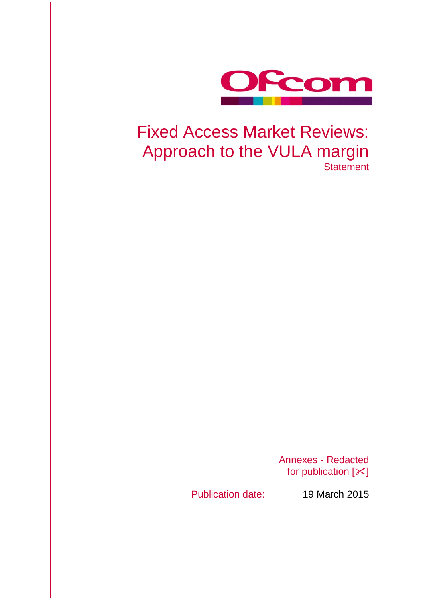

# Fixed Access Market Reviews: Approach to the VULA margin **Statement**

Annexes - Redacted for publication  $[\times]$ 

Publication date: 19 March 2015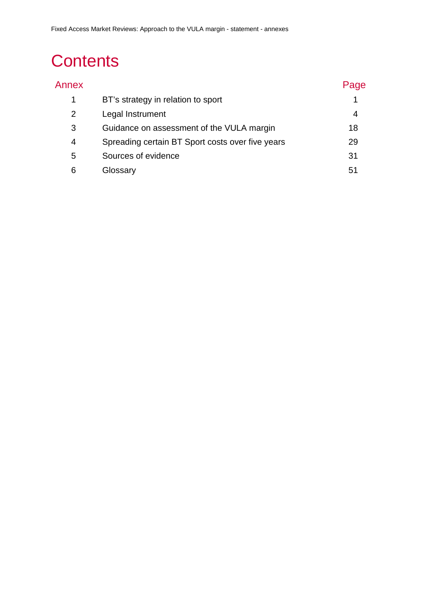# **Contents**

| Annex |                                                  | Page |
|-------|--------------------------------------------------|------|
| 1     | BT's strategy in relation to sport               |      |
| 2     | Legal Instrument                                 | 4    |
| 3     | Guidance on assessment of the VULA margin        | 18   |
| 4     | Spreading certain BT Sport costs over five years | 29   |
| 5     | Sources of evidence                              | 31   |
| 6     | Glossary                                         | 51   |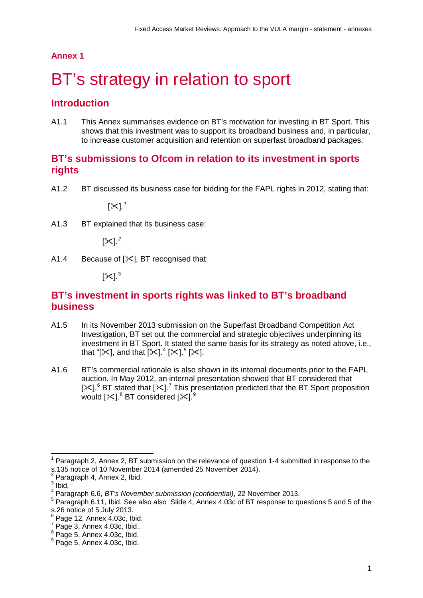### **Annex 1**

# <span id="page-2-0"></span>BT's strategy in relation to sport

## **Introduction**

A1.1 This Annex summarises evidence on BT's motivation for investing in BT Sport. This shows that this investment was to support its broadband business and, in particular, to increase customer acquisition and retention on superfast broadband packages.

## **BT's submissions to Ofcom in relation to its investment in sports rights**

A1.2 BT discussed its business case for bidding for the FAPL rights in 2012, stating that:

[ $^{\times}$ ].  $^{\prime}$ 

A1.3 BT explained that its business case:

[ $\times$ ].<sup>[2](#page-2-2)</sup>

A1.4 Because of  $[\times]$ , BT recognised that:

[≻].<sup>[3](#page-2-3)</sup>

## **BT's investment in sports rights was linked to BT's broadband business**

- A1.5 In its November 2013 submission on the Superfast Broadband Competition Act Investigation, BT set out the commercial and strategic objectives underpinning its investment in BT Sport. It stated the same basis for its strategy as noted above, i.e., that "[ $\ll$ ], and that [ $\ll$ ]. $^{4}$  $^{4}$  $^{4}$  [ $\ll$ ]. $^{5}$  $^{5}$  $^{5}$  [ $\ll$ ].
- A1.6 BT's commercial rationale is also shown in its internal documents prior to the FAPL auction. In May 2012, an internal presentation showed that BT considered that [ $\times$ ].<sup>[6](#page-2-6)</sup> BT stated that [ $\times$ ].<sup>[7](#page-2-7)</sup> This presentation predicted that the BT Sport proposition would [ $\ll$ ]. $^8$  $^8$  BT considered [ $\ll$ ]. $^9$  $^9$

 $\overline{a}$ 

<span id="page-2-1"></span>Paragraph 2, Annex 2, BT submission on the relevance of question 1-4 submitted in response to the s.135 notice of 10 November 2014 (amended 25 November 2014).

Paragraph 4, Annex 2, Ibid.

<span id="page-2-3"></span><span id="page-2-2"></span> $3$  Ibid.

<span id="page-2-4"></span><sup>4</sup> Paragraph 6.6, *BT's November submission (confidential)*, 22 November 2013.

<span id="page-2-5"></span><sup>&</sup>lt;sup>5</sup> Paragraph 6.11, Ibid. See also also Slide 4, Annex 4.03c of BT response to questions 5 and 5 of the s.26 notice of 5 July 2013.<br> $\frac{6}{6}$  Page 12, Annex 4,03c, Ibid.

<span id="page-2-7"></span><span id="page-2-6"></span> $\frac{7}{8}$  Page 3, Annex 4.03c, Ibid..<br> $\frac{8}{8}$  Page 5, Annex 4.03c, Ibid.

<span id="page-2-9"></span><span id="page-2-8"></span> $9$  Page 5, Annex 4.03c, Ibid.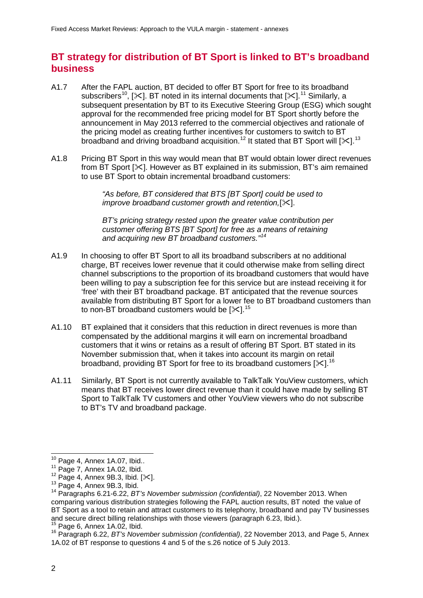# **BT strategy for distribution of BT Sport is linked to BT's broadband business**

- A1.7 After the FAPL auction, BT decided to offer BT Sport for free to its broadband subscribers<sup>[10](#page-3-0)</sup>, [ $\ll$ ]. BT noted in its internal documents that [ $\ll$ ].<sup>[11](#page-3-1)</sup> Similarly, a subsequent presentation by BT to its Executive Steering Group (ESG) which sought approval for the recommended free pricing model for BT Sport shortly before the announcement in May 2013 referred to the commercial objectives and rationale of the pricing model as creating further incentives for customers to switch to BT broadband and driving broadband acquisition.<sup>[12](#page-3-2)</sup> It stated that BT Sport will [ $\ll$ ].<sup>[13](#page-3-3)</sup>
- A1.8 Pricing BT Sport in this way would mean that BT would obtain lower direct revenues from BT Sport  $[\times]$ . However as BT explained in its submission. BT's aim remained to use BT Sport to obtain incremental broadband customers:

*"As before, BT considered that BTS [BT Sport] could be used to improve broadband customer growth and retention,[* $\angle$ *].* 

*BT's pricing strategy rested upon the greater value contribution per customer offering BTS [BT Sport] for free as a means of retaining and acquiring new BT broadband customers."[14](#page-3-4)*

- A1.9 In choosing to offer BT Sport to all its broadband subscribers at no additional charge, BT receives lower revenue that it could otherwise make from selling direct channel subscriptions to the proportion of its broadband customers that would have been willing to pay a subscription fee for this service but are instead receiving it for 'free' with their BT broadband package. BT anticipated that the revenue sources available from distributing BT Sport for a lower fee to BT broadband customers than to non-BT broadband customers would be [ $\ll$ ].<sup>[15](#page-3-5)</sup>
- A1.10 BT explained that it considers that this reduction in direct revenues is more than compensated by the additional margins it will earn on incremental broadband customers that it wins or retains as a result of offering BT Sport. BT stated in its November submission that, when it takes into account its margin on retail broadband, providing BT Sport for free to its broadband customers [ $\ll$ ].<sup>[16](#page-3-6)</sup>
- A1.11 Similarly, BT Sport is not currently available to TalkTalk YouView customers, which means that BT receives lower direct revenue than it could have made by selling BT Sport to TalkTalk TV customers and other YouView viewers who do not subscribe to BT's TV and broadband package.

<span id="page-3-0"></span> $^{10}$  Page 4, Annex 1A.07, Ibid..

<span id="page-3-2"></span>

<span id="page-3-4"></span><span id="page-3-3"></span>

<span id="page-3-1"></span><sup>11</sup> Page 7, Annex 1A.02, Ibid.<br><sup>11</sup> Page 7, Annex 9B.3, Ibid. [ $\times$ ].<br><sup>12</sup> Page 4, Annex 9B.3, Ibid. [ $\times$ ].<br><sup>14</sup> Paragraphs 6.21-6.22, *BT's November submission (confidential)*, 22 November 2013. When comparing various distribution strategies following the FAPL auction results, BT noted the value of BT Sport as a tool to retain and attract customers to its telephony, broadband and pay TV businesses and secure direct billing relationships with those viewers (paragraph 6.23, Ibid.).  $^{15}$  Page 6. Annex 1A.02. Ibid.

<span id="page-3-6"></span><span id="page-3-5"></span><sup>&</sup>lt;sup>16</sup> Paragraph 6.22, *BT's November submission (confidential)*, 22 November 2013, and Page 5, Annex 1A.02 of BT response to questions 4 and 5 of the s.26 notice of 5 July 2013.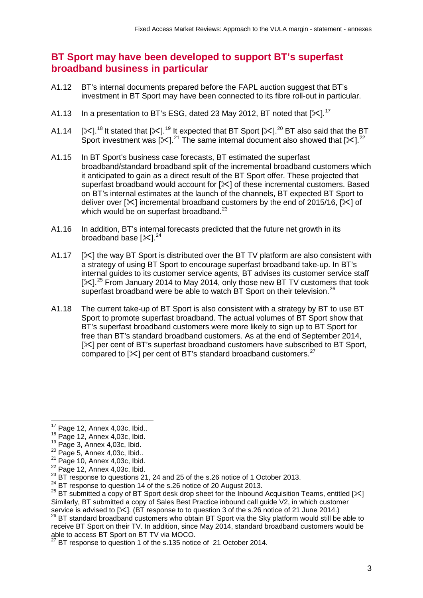# **BT Sport may have been developed to support BT's superfast broadband business in particular**

- A1.12 BT's internal documents prepared before the FAPL auction suggest that BT's investment in BT Sport may have been connected to its fibre roll-out in particular.
- A1.13 In a presentation to BT's ESG, dated 23 May 2012, BT noted that [ $\ll$ ].<sup>[17](#page-4-0)</sup>
- A1.14 [ $\ll$ ].<sup>[18](#page-4-1)</sup> It stated that [ $\ll$ ].<sup>[19](#page-4-2)</sup> It expected that BT Sport [ $\ll$ ].<sup>[20](#page-4-3)</sup> BT also said that the BT Sport investment was [ $\ll$ ].<sup>[21](#page-4-4)</sup> The same internal document also showed that [ $\ll$ ].<sup>[22](#page-4-5)</sup>
- A1.15 In BT Sport's business case forecasts, BT estimated the superfast broadband/standard broadband split of the incremental broadband customers which it anticipated to gain as a direct result of the BT Sport offer. These projected that superfast broadband would account for [ $\angle$ ] of these incremental customers. Based on BT's internal estimates at the launch of the channels, BT expected BT Sport to deliver over  $[\times]$  incremental broadband customers by the end of 2015/16,  $[\times]$  of which would be on superfast broadband. $^{23}$  $^{23}$  $^{23}$
- A1.16 In addition, BT's internal forecasts predicted that the future net growth in its broadband base  $[\times]^{24}$  $[\times]^{24}$  $[\times]^{24}$
- A1.17  $[\times]$  the way BT Sport is distributed over the BT TV platform are also consistent with a strategy of using BT Sport to encourage superfast broadband take-up. In BT's internal guides to its customer service agents, BT advises its customer service staff  $[\times]$ <sup>[25](#page-4-8)</sup> From January 2014 to May 2014, only those new BT TV customers that took superfast broadband were be able to watch BT Sport on their television.<sup>[26](#page-4-9)</sup>
- A1.18 The current take-up of BT Sport is also consistent with a strategy by BT to use BT Sport to promote superfast broadband. The actual volumes of BT Sport show that BT's superfast broadband customers were more likely to sign up to BT Sport for free than BT's standard broadband customers. As at the end of September 2014,  $[\times]$  per cent of BT's superfast broadband customers have subscribed to BT Sport, compared to  $[\times]$  per cent of BT's standard broadband customers.<sup>[27](#page-4-10)</sup>

<span id="page-4-9"></span>service is advised to [ $\times$ ]. (BT response to to question 3 of the s.26 notice of 21 June 2014.)<br><sup>26</sup> BT standard broadband customers who obtain BT Sport via the Sky platform would still be able to receive BT Sport on their TV. In addition, since May 2014, standard broadband customers would be<br>able to access BT Sport on BT TV via MOCO.

 $^{17}$  Page 12, Annex 4,03c, Ibid..<br> $^{18}$  Page 12, Annex 4,03c, Ibid.  $\overline{a}$ 

<span id="page-4-0"></span>

<span id="page-4-4"></span>

<span id="page-4-5"></span>

<span id="page-4-3"></span><span id="page-4-2"></span><span id="page-4-1"></span><sup>&</sup>lt;sup>19</sup> Page 3, Annex 4,03c, Ibid.<br><sup>20</sup> Page 5, Annex 4,03c, Ibid.<br><sup>21</sup> Page 10, Annex 4,03c, Ibid.<br><sup>22</sup> Page 12, Annex 4,03c, Ibid. <sup>23</sup> BT response to questions 21, 24 and 25 of the s.26 notice of 1 October 2013.<br><sup>24</sup> BT r

<span id="page-4-6"></span>

<span id="page-4-8"></span><span id="page-4-7"></span><sup>&</sup>lt;sup>25</sup> BT submitted a copy of BT Sport desk drop sheet for the Inbound Acquisition Teams, entitled [ $\ll$ ] Similarly, BT submitted a copy of Sales Best Practice inbound call guide V2, in which customer

<span id="page-4-10"></span> $\overline{B}$  BT response to question 1 of the s.135 notice of 21 October 2014.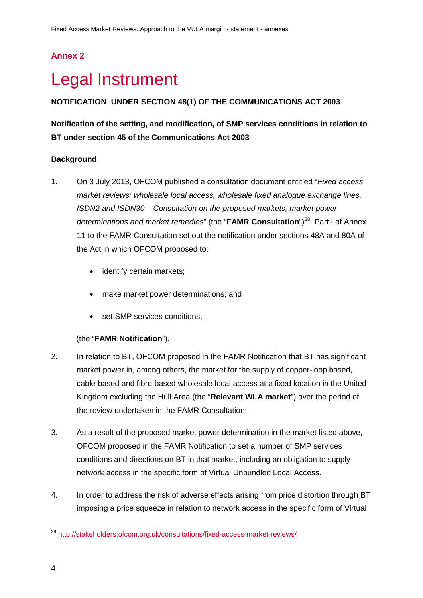# **Annex 2**

# <span id="page-5-0"></span>**Legal Instrument**

### **NOTIFICATION UNDER SECTION 48(1) OF THE COMMUNICATIONS ACT 2003**

## **Notification of the setting, and modification, of SMP services conditions in relation to BT under section 45 of the Communications Act 2003**

#### **Background**

- 1. On 3 July 2013, OFCOM published a consultation document entitled "*Fixed access market reviews: wholesale local access, wholesale fixed analogue exchange lines, ISDN2 and ISDN30 – Consultation on the proposed markets, market power*  determinations and market remedies" (the "**FAMR Consultation**")<sup>28</sup>. Part I of Annex 11 to the FAMR Consultation set out the notification under sections 48A and 80A of the Act in which OFCOM proposed to:
	- identify certain markets;
	- make market power determinations; and
	- set SMP services conditions,

#### (the "**FAMR Notification**").

- 2. In relation to BT, OFCOM proposed in the FAMR Notification that BT has significant market power in, among others, the market for the supply of copper-loop based, cable-based and fibre-based wholesale local access at a fixed location in the United Kingdom excluding the Hull Area (the "**Relevant WLA market**") over the period of the review undertaken in the FAMR Consultation.
- 3. As a result of the proposed market power determination in the market listed above, OFCOM proposed in the FAMR Notification to set a number of SMP services conditions and directions on BT in that market, including an obligation to supply network access in the specific form of Virtual Unbundled Local Access.
- 4. In order to address the risk of adverse effects arising from price distortion through BT imposing a price squeeze in relation to network access in the specific form of Virtual

<span id="page-5-1"></span><sup>&</sup>lt;sup>28</sup> <http://stakeholders.ofcom.org.uk/consultations/fixed-access-market-reviews/>  $\overline{a}$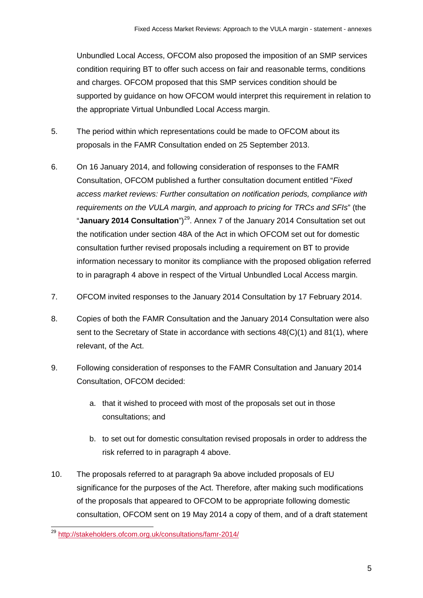Unbundled Local Access, OFCOM also proposed the imposition of an SMP services condition requiring BT to offer such access on fair and reasonable terms, conditions and charges. OFCOM proposed that this SMP services condition should be supported by guidance on how OFCOM would interpret this requirement in relation to the appropriate Virtual Unbundled Local Access margin.

- 5. The period within which representations could be made to OFCOM about its proposals in the FAMR Consultation ended on 25 September 2013.
- 6. On 16 January 2014, and following consideration of responses to the FAMR Consultation, OFCOM published a further consultation document entitled "*Fixed access market reviews: Further consultation on notification periods, compliance with requirements on the VULA margin, and approach to pricing for TRCs and SFIs*" (the "**January 2014 Consultation**")<sup>[29](#page-6-0)</sup>. Annex 7 of the January 2014 Consultation set out the notification under section 48A of the Act in which OFCOM set out for domestic consultation further revised proposals including a requirement on BT to provide information necessary to monitor its compliance with the proposed obligation referred to in paragraph 4 above in respect of the Virtual Unbundled Local Access margin.
- 7. OFCOM invited responses to the January 2014 Consultation by 17 February 2014.
- 8. Copies of both the FAMR Consultation and the January 2014 Consultation were also sent to the Secretary of State in accordance with sections 48(C)(1) and 81(1), where relevant, of the Act.
- 9. Following consideration of responses to the FAMR Consultation and January 2014 Consultation, OFCOM decided:
	- a. that it wished to proceed with most of the proposals set out in those consultations; and
	- b. to set out for domestic consultation revised proposals in order to address the risk referred to in paragraph 4 above.
- 10. The proposals referred to at paragraph 9a above included proposals of EU significance for the purposes of the Act. Therefore, after making such modifications of the proposals that appeared to OFCOM to be appropriate following domestic consultation, OFCOM sent on 19 May 2014 a copy of them, and of a draft statement

<span id="page-6-0"></span><sup>&</sup>lt;sup>29</sup> <http://stakeholders.ofcom.org.uk/consultations/famr-2014/>  $\overline{a}$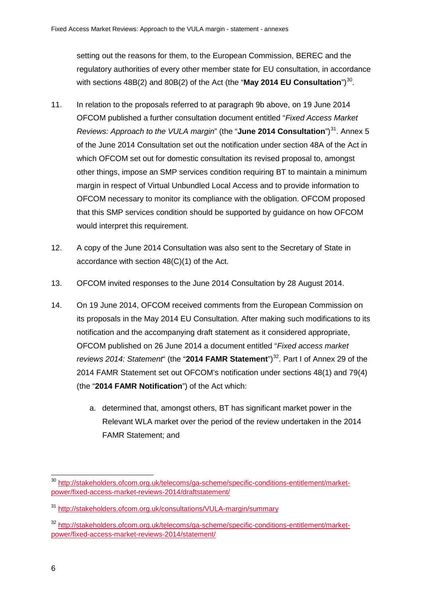setting out the reasons for them, to the European Commission, BEREC and the regulatory authorities of every other member state for EU consultation, in accordance with sections 48B(2) and 80B(2) of the Act (the "**May 2014 EU Consultation**")<sup>30</sup>.

- 11. In relation to the proposals referred to at paragraph 9b above, on 19 June 2014 OFCOM published a further consultation document entitled "*Fixed Access Market Reviews: Approach to the VULA margin*" (the "June 2014 Consultation")<sup>[31](#page-7-1)</sup>. Annex 5 of the June 2014 Consultation set out the notification under section 48A of the Act in which OFCOM set out for domestic consultation its revised proposal to, amongst other things, impose an SMP services condition requiring BT to maintain a minimum margin in respect of Virtual Unbundled Local Access and to provide information to OFCOM necessary to monitor its compliance with the obligation. OFCOM proposed that this SMP services condition should be supported by guidance on how OFCOM would interpret this requirement.
- 12. A copy of the June 2014 Consultation was also sent to the Secretary of State in accordance with section 48(C)(1) of the Act.
- 13. OFCOM invited responses to the June 2014 Consultation by 28 August 2014.
- 14. On 19 June 2014, OFCOM received comments from the European Commission on its proposals in the May 2014 EU Consultation. After making such modifications to its notification and the accompanying draft statement as it considered appropriate, OFCOM published on 26 June 2014 a document entitled "*Fixed access market reviews 2014: Statement*" (the "2014 FAMR Statement")<sup>32</sup>. Part I of Annex 29 of the 2014 FAMR Statement set out OFCOM's notification under sections 48(1) and 79(4) (the "**2014 FAMR Notification**") of the Act which:
	- a. determined that, amongst others, BT has significant market power in the Relevant WLA market over the period of the review undertaken in the 2014 FAMR Statement; and

<span id="page-7-0"></span><sup>&</sup>lt;sup>30</sup> [http://stakeholders.ofcom.org.uk/telecoms/ga-scheme/specific-conditions-entitlement/market](http://stakeholders.ofcom.org.uk/telecoms/ga-scheme/specific-conditions-entitlement/market-power/fixed-access-market-reviews-2014/draftstatement/)[power/fixed-access-market-reviews-2014/draftstatement/](http://stakeholders.ofcom.org.uk/telecoms/ga-scheme/specific-conditions-entitlement/market-power/fixed-access-market-reviews-2014/draftstatement/)  $\overline{a}$ 

<span id="page-7-1"></span><sup>31</sup> <http://stakeholders.ofcom.org.uk/consultations/VULA-margin/summary>

<span id="page-7-2"></span><sup>32</sup> [http://stakeholders.ofcom.org.uk/telecoms/ga-scheme/specific-conditions-entitlement/market](http://stakeholders.ofcom.org.uk/telecoms/ga-scheme/specific-conditions-entitlement/market-power/fixed-access-market-reviews-2014/statement/)[power/fixed-access-market-reviews-2014/statement/](http://stakeholders.ofcom.org.uk/telecoms/ga-scheme/specific-conditions-entitlement/market-power/fixed-access-market-reviews-2014/statement/)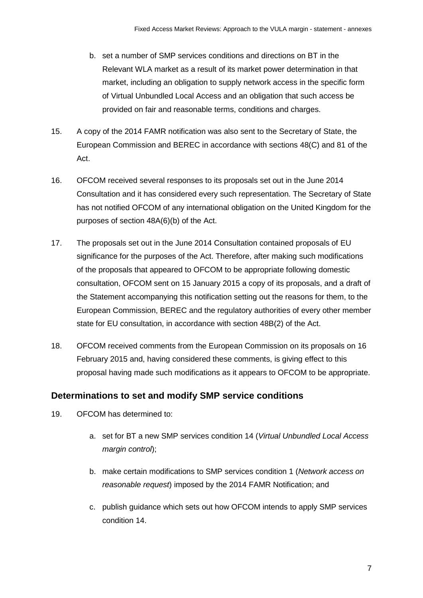- b. set a number of SMP services conditions and directions on BT in the Relevant WLA market as a result of its market power determination in that market, including an obligation to supply network access in the specific form of Virtual Unbundled Local Access and an obligation that such access be provided on fair and reasonable terms, conditions and charges.
- 15. A copy of the 2014 FAMR notification was also sent to the Secretary of State, the European Commission and BEREC in accordance with sections 48(C) and 81 of the Act.
- 16. OFCOM received several responses to its proposals set out in the June 2014 Consultation and it has considered every such representation. The Secretary of State has not notified OFCOM of any international obligation on the United Kingdom for the purposes of section 48A(6)(b) of the Act.
- 17. The proposals set out in the June 2014 Consultation contained proposals of EU significance for the purposes of the Act. Therefore, after making such modifications of the proposals that appeared to OFCOM to be appropriate following domestic consultation, OFCOM sent on 15 January 2015 a copy of its proposals, and a draft of the Statement accompanying this notification setting out the reasons for them, to the European Commission, BEREC and the regulatory authorities of every other member state for EU consultation, in accordance with section 48B(2) of the Act.
- 18. OFCOM received comments from the European Commission on its proposals on 16 February 2015 and, having considered these comments, is giving effect to this proposal having made such modifications as it appears to OFCOM to be appropriate.

## **Determinations to set and modify SMP service conditions**

- 19. OFCOM has determined to:
	- a. set for BT a new SMP services condition 14 (*Virtual Unbundled Local Access margin control*);
	- b. make certain modifications to SMP services condition 1 (*Network access on reasonable request*) imposed by the 2014 FAMR Notification; and
	- c. publish guidance which sets out how OFCOM intends to apply SMP services condition 14.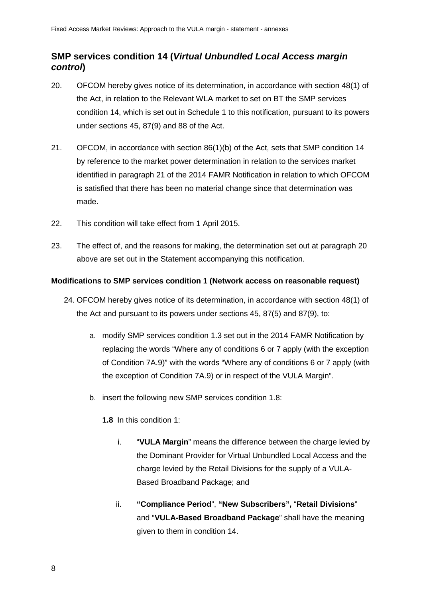## **SMP services condition 14 (***Virtual Unbundled Local Access margin control***)**

- 20. OFCOM hereby gives notice of its determination, in accordance with section 48(1) of the Act, in relation to the Relevant WLA market to set on BT the SMP services condition 14, which is set out in Schedule 1 to this notification, pursuant to its powers under sections 45, 87(9) and 88 of the Act.
- 21. OFCOM, in accordance with section 86(1)(b) of the Act, sets that SMP condition 14 by reference to the market power determination in relation to the services market identified in paragraph 21 of the 2014 FAMR Notification in relation to which OFCOM is satisfied that there has been no material change since that determination was made.
- 22. This condition will take effect from 1 April 2015.
- 23. The effect of, and the reasons for making, the determination set out at paragraph 20 above are set out in the Statement accompanying this notification.

#### **Modifications to SMP services condition 1 (Network access on reasonable request)**

- 24. OFCOM hereby gives notice of its determination, in accordance with section 48(1) of the Act and pursuant to its powers under sections 45, 87(5) and 87(9), to:
	- a. modify SMP services condition 1.3 set out in the 2014 FAMR Notification by replacing the words "Where any of conditions 6 or 7 apply (with the exception of Condition 7A.9)" with the words "Where any of conditions 6 or 7 apply (with the exception of Condition 7A.9) or in respect of the VULA Margin".
	- b. insert the following new SMP services condition 1.8:

**1.8** In this condition 1:

- i. "**VULA Margin**" means the difference between the charge levied by the Dominant Provider for Virtual Unbundled Local Access and the charge levied by the Retail Divisions for the supply of a VULA-Based Broadband Package; and
- ii. **"Compliance Period**", **"New Subscribers",** "**Retail Divisions**" and "**VULA-Based Broadband Package**" shall have the meaning given to them in condition 14.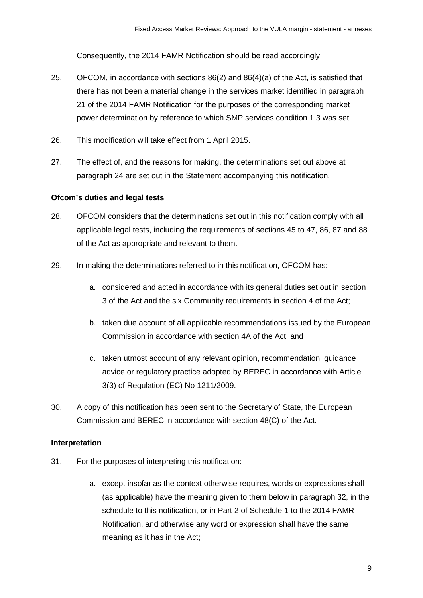Consequently, the 2014 FAMR Notification should be read accordingly.

- 25. OFCOM, in accordance with sections 86(2) and 86(4)(a) of the Act, is satisfied that there has not been a material change in the services market identified in paragraph 21 of the 2014 FAMR Notification for the purposes of the corresponding market power determination by reference to which SMP services condition 1.3 was set.
- 26. This modification will take effect from 1 April 2015.
- 27. The effect of, and the reasons for making, the determinations set out above at paragraph 24 are set out in the Statement accompanying this notification.

#### **Ofcom's duties and legal tests**

- 28. OFCOM considers that the determinations set out in this notification comply with all applicable legal tests, including the requirements of sections 45 to 47, 86, 87 and 88 of the Act as appropriate and relevant to them.
- 29. In making the determinations referred to in this notification, OFCOM has:
	- a. considered and acted in accordance with its general duties set out in section 3 of the Act and the six Community requirements in section 4 of the Act;
	- b. taken due account of all applicable recommendations issued by the European Commission in accordance with section 4A of the Act; and
	- c. taken utmost account of any relevant opinion, recommendation, guidance advice or regulatory practice adopted by BEREC in accordance with Article 3(3) of Regulation (EC) No 1211/2009.
- 30. A copy of this notification has been sent to the Secretary of State, the European Commission and BEREC in accordance with section 48(C) of the Act.

#### **Interpretation**

- 31. For the purposes of interpreting this notification:
	- a. except insofar as the context otherwise requires, words or expressions shall (as applicable) have the meaning given to them below in paragraph 32, in the schedule to this notification, or in Part 2 of Schedule 1 to the 2014 FAMR Notification, and otherwise any word or expression shall have the same meaning as it has in the Act;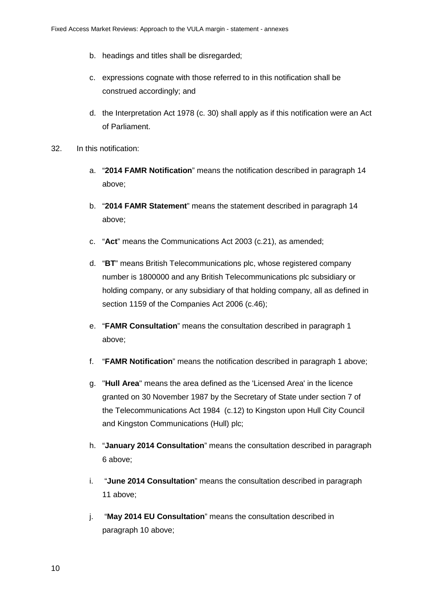- b. headings and titles shall be disregarded;
- c. expressions cognate with those referred to in this notification shall be construed accordingly; and
- d. the Interpretation Act 1978 (c. 30) shall apply as if this notification were an Act of Parliament.
- 32. In this notification:
	- a. "**2014 FAMR Notification**" means the notification described in paragraph 14 above;
	- b. "**2014 FAMR Statement**" means the statement described in paragraph 14 above;
	- c. "**Act**" means the Communications Act 2003 (c.21), as amended;
	- d. "**BT**" means British Telecommunications plc, whose registered company number is 1800000 and any British Telecommunications plc subsidiary or holding company, or any subsidiary of that holding company, all as defined in section 1159 of the Companies Act 2006 (c.46);
	- e. "**FAMR Consultation**" means the consultation described in paragraph 1 above;
	- f. "**FAMR Notification**" means the notification described in paragraph 1 above;
	- g. "**Hull Area**" means the area defined as the 'Licensed Area' in the licence granted on 30 November 1987 by the Secretary of State under section 7 of the Telecommunications Act 1984 (c.12) to Kingston upon Hull City Council and Kingston Communications (Hull) plc;
	- h. "**January 2014 Consultation**" means the consultation described in paragraph 6 above;
	- i. "**June 2014 Consultation**" means the consultation described in paragraph 11 above;
	- j. "**May 2014 EU Consultation**" means the consultation described in paragraph 10 above;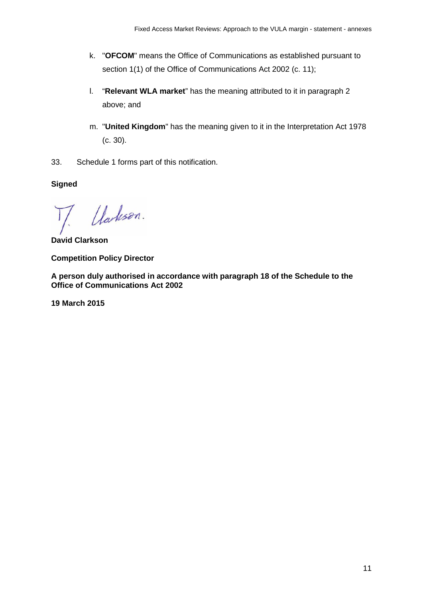- k. "**OFCOM**" means the Office of Communications as established pursuant to section 1(1) of the Office of Communications Act 2002 (c. 11);
- l. "**Relevant WLA market**" has the meaning attributed to it in paragraph 2 above; and
- m. "**United Kingdom**" has the meaning given to it in the Interpretation Act 1978 (c. 30).
- 33. Schedule 1 forms part of this notification.

**Signed**

Uarlison.

**David Clarkson**

**Competition Policy Director**

**A person duly authorised in accordance with paragraph 18 of the Schedule to the Office of Communications Act 2002**

**19 March 2015**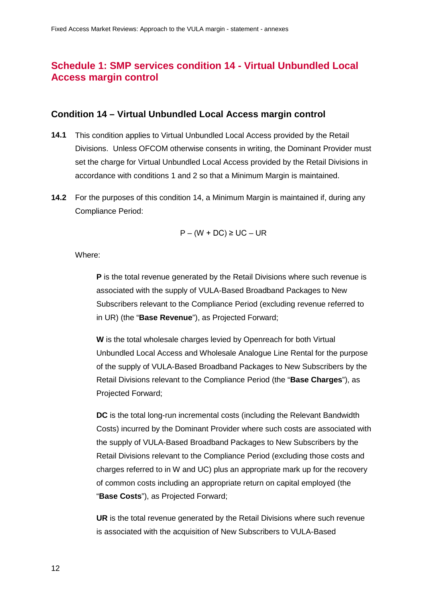# **Schedule 1: SMP services condition 14 - Virtual Unbundled Local Access margin control**

#### **Condition 14 – Virtual Unbundled Local Access margin control**

- **14.1** This condition applies to Virtual Unbundled Local Access provided by the Retail Divisions. Unless OFCOM otherwise consents in writing, the Dominant Provider must set the charge for Virtual Unbundled Local Access provided by the Retail Divisions in accordance with conditions 1 and 2 so that a Minimum Margin is maintained.
- **14.2** For the purposes of this condition 14, a Minimum Margin is maintained if, during any Compliance Period:

$$
P - (W + DC) \ge UC - UR
$$

Where:

**P** is the total revenue generated by the Retail Divisions where such revenue is associated with the supply of VULA-Based Broadband Packages to New Subscribers relevant to the Compliance Period (excluding revenue referred to in UR) (the "**Base Revenue**"), as Projected Forward;

**W** is the total wholesale charges levied by Openreach for both Virtual Unbundled Local Access and Wholesale Analogue Line Rental for the purpose of the supply of VULA-Based Broadband Packages to New Subscribers by the Retail Divisions relevant to the Compliance Period (the "**Base Charges**"), as Projected Forward;

**DC** is the total long-run incremental costs (including the Relevant Bandwidth Costs) incurred by the Dominant Provider where such costs are associated with the supply of VULA-Based Broadband Packages to New Subscribers by the Retail Divisions relevant to the Compliance Period (excluding those costs and charges referred to in W and UC) plus an appropriate mark up for the recovery of common costs including an appropriate return on capital employed (the "**Base Costs**"), as Projected Forward;

**UR** is the total revenue generated by the Retail Divisions where such revenue is associated with the acquisition of New Subscribers to VULA-Based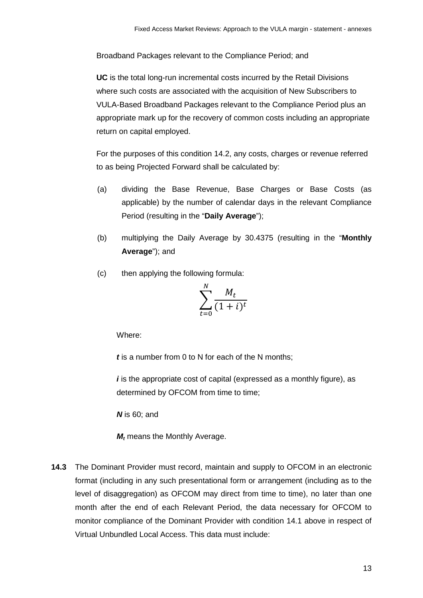Broadband Packages relevant to the Compliance Period; and

**UC** is the total long-run incremental costs incurred by the Retail Divisions where such costs are associated with the acquisition of New Subscribers to VULA-Based Broadband Packages relevant to the Compliance Period plus an appropriate mark up for the recovery of common costs including an appropriate return on capital employed.

For the purposes of this condition 14.2, any costs, charges or revenue referred to as being Projected Forward shall be calculated by:

- (a) dividing the Base Revenue, Base Charges or Base Costs (as applicable) by the number of calendar days in the relevant Compliance Period (resulting in the "**Daily Average**");
- (b) multiplying the Daily Average by 30.4375 (resulting in the "**Monthly Average**"); and
- (c) then applying the following formula:

$$
\sum_{t=0}^{N} \frac{M_t}{(1+i)^t}
$$

Where:

*t* is a number from 0 to N for each of the N months;

*i* is the appropriate cost of capital (expressed as a monthly figure), as determined by OFCOM from time to time;

*N* is 60; and

*M<sub>t</sub>* means the Monthly Average.

**14.3** The Dominant Provider must record, maintain and supply to OFCOM in an electronic format (including in any such presentational form or arrangement (including as to the level of disaggregation) as OFCOM may direct from time to time), no later than one month after the end of each Relevant Period, the data necessary for OFCOM to monitor compliance of the Dominant Provider with condition 14.1 above in respect of Virtual Unbundled Local Access. This data must include: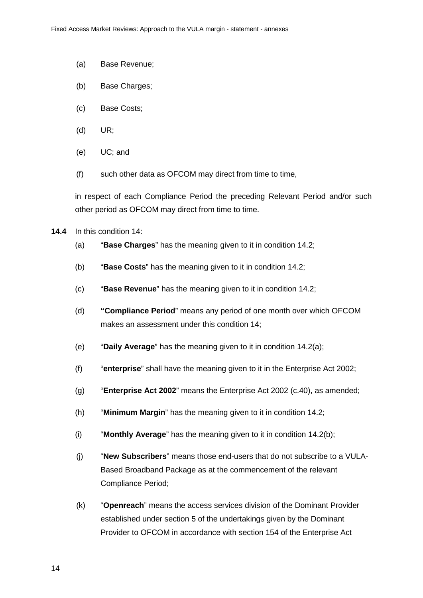- (a) Base Revenue;
- (b) Base Charges;
- (c) Base Costs;
- (d) UR;
- (e) UC; and
- (f) such other data as OFCOM may direct from time to time,

in respect of each Compliance Period the preceding Relevant Period and/or such other period as OFCOM may direct from time to time.

- **14.4** In this condition 14:
	- (a) "**Base Charges**" has the meaning given to it in condition 14.2;
	- (b) "**Base Costs**" has the meaning given to it in condition 14.2;
	- (c) "**Base Revenue**" has the meaning given to it in condition 14.2;
	- (d) **"Compliance Period**" means any period of one month over which OFCOM makes an assessment under this condition 14;
	- (e) "**Daily Average**" has the meaning given to it in condition 14.2(a);
	- (f) "**enterprise**" shall have the meaning given to it in the Enterprise Act 2002;
	- (g) "**Enterprise Act 2002**" means the Enterprise Act 2002 (c.40), as amended;
	- (h) "**Minimum Margin**" has the meaning given to it in condition 14.2;
	- (i) "**Monthly Average**" has the meaning given to it in condition 14.2(b);
	- (j) "**New Subscribers**" means those end-users that do not subscribe to a VULA-Based Broadband Package as at the commencement of the relevant Compliance Period;
	- (k) "**Openreach**" means the access services division of the Dominant Provider established under section 5 of the undertakings given by the Dominant Provider to OFCOM in accordance with section 154 of the Enterprise Act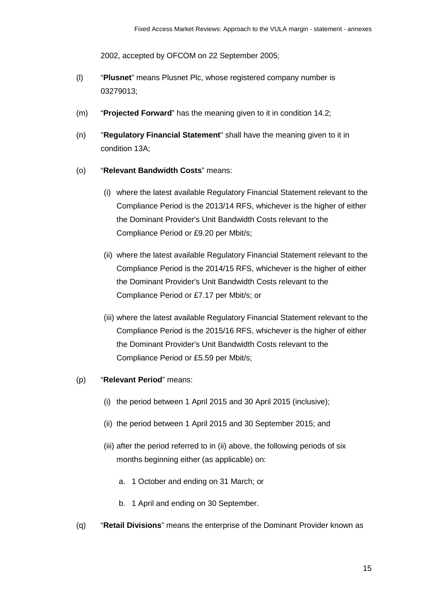2002, accepted by OFCOM on 22 September 2005;

- (l) "**Plusnet**" means Plusnet Plc, whose registered company number is 03279013;
- (m) "**Projected Forward**" has the meaning given to it in condition 14.2;
- (n) "**Regulatory Financial Statement**" shall have the meaning given to it in condition 13A;
- (o) "**Relevant Bandwidth Costs**" means:
	- (i) where the latest available Regulatory Financial Statement relevant to the Compliance Period is the 2013/14 RFS, whichever is the higher of either the Dominant Provider's Unit Bandwidth Costs relevant to the Compliance Period or £9.20 per Mbit/s;
	- (ii) where the latest available Regulatory Financial Statement relevant to the Compliance Period is the 2014/15 RFS, whichever is the higher of either the Dominant Provider's Unit Bandwidth Costs relevant to the Compliance Period or £7.17 per Mbit/s; or
	- (iii) where the latest available Regulatory Financial Statement relevant to the Compliance Period is the 2015/16 RFS, whichever is the higher of either the Dominant Provider's Unit Bandwidth Costs relevant to the Compliance Period or £5.59 per Mbit/s;
- (p) "**Relevant Period**" means:
	- (i) the period between 1 April 2015 and 30 April 2015 (inclusive);
	- (ii) the period between 1 April 2015 and 30 September 2015; and
	- (iii) after the period referred to in (ii) above, the following periods of six months beginning either (as applicable) on:
		- a. 1 October and ending on 31 March; or
		- b. 1 April and ending on 30 September.
- (q) "**Retail Divisions**" means the enterprise of the Dominant Provider known as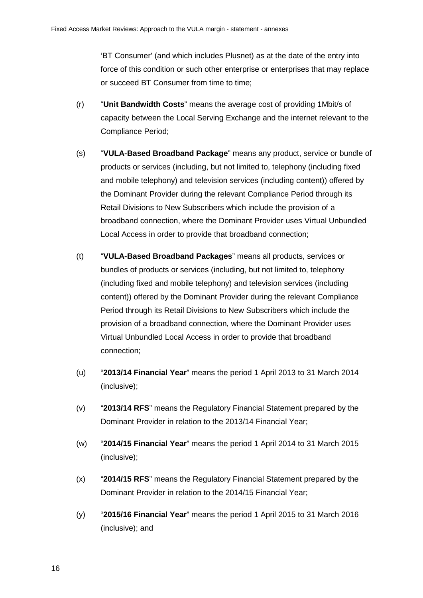'BT Consumer' (and which includes Plusnet) as at the date of the entry into force of this condition or such other enterprise or enterprises that may replace or succeed BT Consumer from time to time;

- (r) "**Unit Bandwidth Costs**" means the average cost of providing 1Mbit/s of capacity between the Local Serving Exchange and the internet relevant to the Compliance Period;
- (s) "**VULA-Based Broadband Package**" means any product, service or bundle of products or services (including, but not limited to, telephony (including fixed and mobile telephony) and television services (including content)) offered by the Dominant Provider during the relevant Compliance Period through its Retail Divisions to New Subscribers which include the provision of a broadband connection, where the Dominant Provider uses Virtual Unbundled Local Access in order to provide that broadband connection;
- (t) "**VULA-Based Broadband Packages**" means all products, services or bundles of products or services (including, but not limited to, telephony (including fixed and mobile telephony) and television services (including content)) offered by the Dominant Provider during the relevant Compliance Period through its Retail Divisions to New Subscribers which include the provision of a broadband connection, where the Dominant Provider uses Virtual Unbundled Local Access in order to provide that broadband connection;
- (u) "**2013/14 Financial Year**" means the period 1 April 2013 to 31 March 2014 (inclusive);
- (v) "**2013/14 RFS**" means the Regulatory Financial Statement prepared by the Dominant Provider in relation to the 2013/14 Financial Year;
- (w) "**2014/15 Financial Year**" means the period 1 April 2014 to 31 March 2015 (inclusive);
- (x) "**2014/15 RFS**" means the Regulatory Financial Statement prepared by the Dominant Provider in relation to the 2014/15 Financial Year;
- (y) "**2015/16 Financial Year**" means the period 1 April 2015 to 31 March 2016 (inclusive); and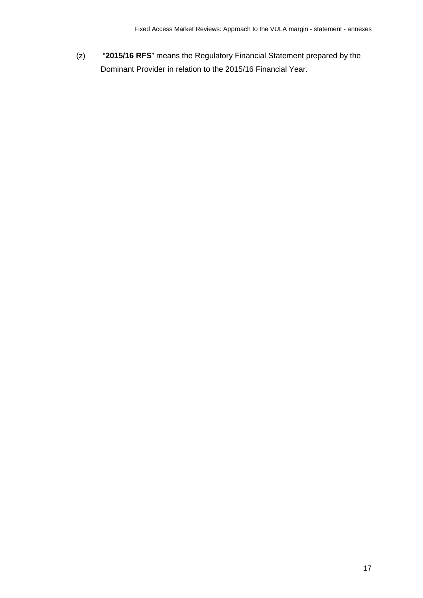(z) "**2015/16 RFS**" means the Regulatory Financial Statement prepared by the Dominant Provider in relation to the 2015/16 Financial Year.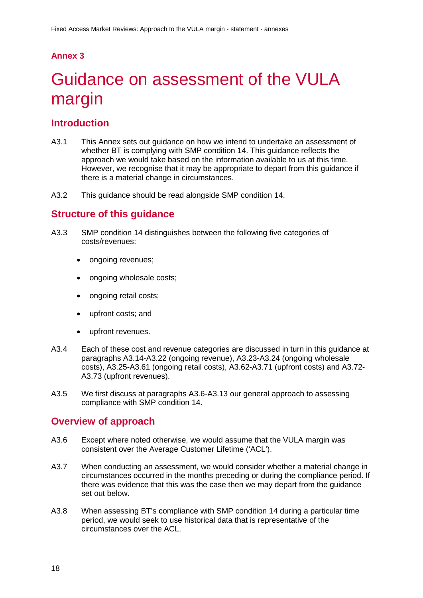## **Annex 3**

# <span id="page-19-0"></span>Guidance on assessment of the VULA margin

## **Introduction**

- A3.1 This Annex sets out guidance on how we intend to undertake an assessment of whether BT is complying with SMP condition 14. This guidance reflects the approach we would take based on the information available to us at this time. However, we recognise that it may be appropriate to depart from this guidance if there is a material change in circumstances.
- A3.2 This guidance should be read alongside SMP condition 14.

## **Structure of this guidance**

- A3.3 SMP condition 14 distinguishes between the following five categories of costs/revenues:
	- ongoing revenues;
	- ongoing wholesale costs;
	- ongoing retail costs;
	- upfront costs; and
	- upfront revenues.
- A3.4 Each of these cost and revenue categories are discussed in turn in this guidance at paragraphs A3.14-A3.22 (ongoing revenue), A3.23-A3.24 (ongoing wholesale costs), A3.25-A3.61 (ongoing retail costs), A3.62-A3.71 (upfront costs) and A3.72- A3.73 (upfront revenues).
- A3.5 We first discuss at paragraphs A3.6-A3.13 our general approach to assessing compliance with SMP condition 14.

## **Overview of approach**

- A3.6 Except where noted otherwise, we would assume that the VULA margin was consistent over the Average Customer Lifetime ('ACL').
- A3.7 When conducting an assessment, we would consider whether a material change in circumstances occurred in the months preceding or during the compliance period. If there was evidence that this was the case then we may depart from the guidance set out below.
- A3.8 When assessing BT's compliance with SMP condition 14 during a particular time period, we would seek to use historical data that is representative of the circumstances over the ACL.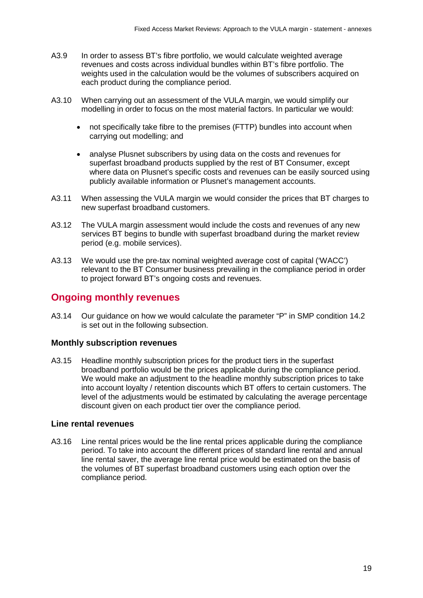- A3.9 In order to assess BT's fibre portfolio, we would calculate weighted average revenues and costs across individual bundles within BT's fibre portfolio. The weights used in the calculation would be the volumes of subscribers acquired on each product during the compliance period.
- A3.10 When carrying out an assessment of the VULA margin, we would simplify our modelling in order to focus on the most material factors. In particular we would:
	- not specifically take fibre to the premises (FTTP) bundles into account when carrying out modelling; and
	- analyse Plusnet subscribers by using data on the costs and revenues for superfast broadband products supplied by the rest of BT Consumer, except where data on Plusnet's specific costs and revenues can be easily sourced using publicly available information or Plusnet's management accounts.
- A3.11 When assessing the VULA margin we would consider the prices that BT charges to new superfast broadband customers.
- A3.12 The VULA margin assessment would include the costs and revenues of any new services BT begins to bundle with superfast broadband during the market review period (e.g. mobile services).
- A3.13 We would use the pre-tax nominal weighted average cost of capital ('WACC') relevant to the BT Consumer business prevailing in the compliance period in order to project forward BT's ongoing costs and revenues.

## **Ongoing monthly revenues**

A3.14 Our guidance on how we would calculate the parameter "P" in SMP condition 14.2 is set out in the following subsection.

#### **Monthly subscription revenues**

A3.15 Headline monthly subscription prices for the product tiers in the superfast broadband portfolio would be the prices applicable during the compliance period. We would make an adjustment to the headline monthly subscription prices to take into account loyalty / retention discounts which BT offers to certain customers. The level of the adjustments would be estimated by calculating the average percentage discount given on each product tier over the compliance period.

#### **Line rental revenues**

A3.16 Line rental prices would be the line rental prices applicable during the compliance period. To take into account the different prices of standard line rental and annual line rental saver, the average line rental price would be estimated on the basis of the volumes of BT superfast broadband customers using each option over the compliance period.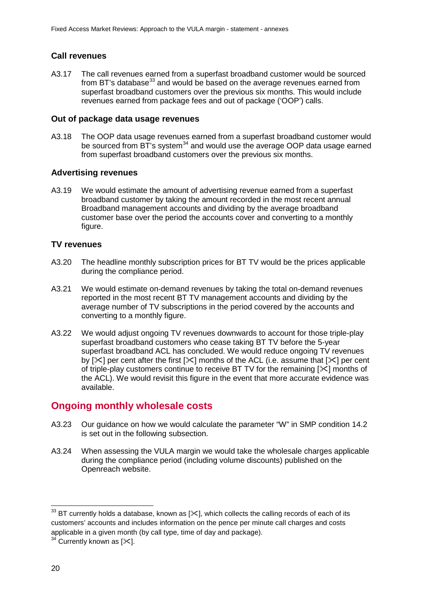## **Call revenues**

A3.17 The call revenues earned from a superfast broadband customer would be sourced from BT's database $^{33}$  $^{33}$  $^{33}$  and would be based on the average revenues earned from superfast broadband customers over the previous six months. This would include revenues earned from package fees and out of package ('OOP') calls.

### **Out of package data usage revenues**

A3.18 The OOP data usage revenues earned from a superfast broadband customer would be sourced from  $BT$ 's system<sup>[34](#page-21-1)</sup> and would use the average OOP data usage earned from superfast broadband customers over the previous six months.

### **Advertising revenues**

A3.19 We would estimate the amount of advertising revenue earned from a superfast broadband customer by taking the amount recorded in the most recent annual Broadband management accounts and dividing by the average broadband customer base over the period the accounts cover and converting to a monthly figure.

## **TV revenues**

- A3.20 The headline monthly subscription prices for BT TV would be the prices applicable during the compliance period.
- A3.21 We would estimate on-demand revenues by taking the total on-demand revenues reported in the most recent BT TV management accounts and dividing by the average number of TV subscriptions in the period covered by the accounts and converting to a monthly figure.
- A3.22 We would adjust ongoing TV revenues downwards to account for those triple-play superfast broadband customers who cease taking BT TV before the 5-year superfast broadband ACL has concluded. We would reduce ongoing TV revenues by  $[\times]$  per cent after the first  $[\times]$  months of the ACL (i.e. assume that  $[\times]$  per cent of triple-play customers continue to receive BT TV for the remaining  $[\times]$  months of the ACL). We would revisit this figure in the event that more accurate evidence was available.

# **Ongoing monthly wholesale costs**

- A3.23 Our guidance on how we would calculate the parameter "W" in SMP condition 14.2 is set out in the following subsection.
- A3.24 When assessing the VULA margin we would take the wholesale charges applicable during the compliance period (including volume discounts) published on the Openreach website.

<span id="page-21-0"></span> $^{33}$  BT currently holds a database, known as [ $\ll$ ], which collects the calling records of each of its customers' accounts and includes information on the pence per minute call charges and costs applicable in a given month (by call type, time of day and package).  $\overline{a}$ 

<span id="page-21-1"></span> $34$  Currently known as [ $\ll$ ].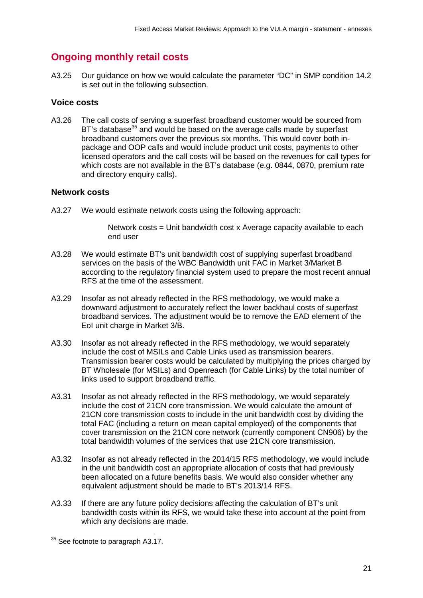# **Ongoing monthly retail costs**

A3.25 Our guidance on how we would calculate the parameter "DC" in SMP condition 14.2 is set out in the following subsection.

#### **Voice costs**

A3.26 The call costs of serving a superfast broadband customer would be sourced from BT's database<sup>[35](#page-22-0)</sup> and would be based on the average calls made by superfast broadband customers over the previous six months. This would cover both inpackage and OOP calls and would include product unit costs, payments to other licensed operators and the call costs will be based on the revenues for call types for which costs are not available in the BT's database (e.g. 0844, 0870, premium rate and directory enquiry calls).

#### **Network costs**

A3.27 We would estimate network costs using the following approach:

Network costs = Unit bandwidth cost x Average capacity available to each end user

- A3.28 We would estimate BT's unit bandwidth cost of supplying superfast broadband services on the basis of the WBC Bandwidth unit FAC in Market 3/Market B according to the regulatory financial system used to prepare the most recent annual RFS at the time of the assessment.
- A3.29 Insofar as not already reflected in the RFS methodology, we would make a downward adjustment to accurately reflect the lower backhaul costs of superfast broadband services. The adjustment would be to remove the EAD element of the EoI unit charge in Market 3/B.
- A3.30 Insofar as not already reflected in the RFS methodology, we would separately include the cost of MSILs and Cable Links used as transmission bearers. Transmission bearer costs would be calculated by multiplying the prices charged by BT Wholesale (for MSILs) and Openreach (for Cable Links) by the total number of links used to support broadband traffic.
- A3.31 Insofar as not already reflected in the RFS methodology, we would separately include the cost of 21CN core transmission. We would calculate the amount of 21CN core transmission costs to include in the unit bandwidth cost by dividing the total FAC (including a return on mean capital employed) of the components that cover transmission on the 21CN core network (currently component CN906) by the total bandwidth volumes of the services that use 21CN core transmission.
- A3.32 Insofar as not already reflected in the 2014/15 RFS methodology, we would include in the unit bandwidth cost an appropriate allocation of costs that had previously been allocated on a future benefits basis. We would also consider whether any equivalent adjustment should be made to BT's 2013/14 RFS.
- A3.33 If there are any future policy decisions affecting the calculation of BT's unit bandwidth costs within its RFS, we would take these into account at the point from which any decisions are made.

<span id="page-22-0"></span> $35$  See footnote to paragraph A3.17.  $\overline{a}$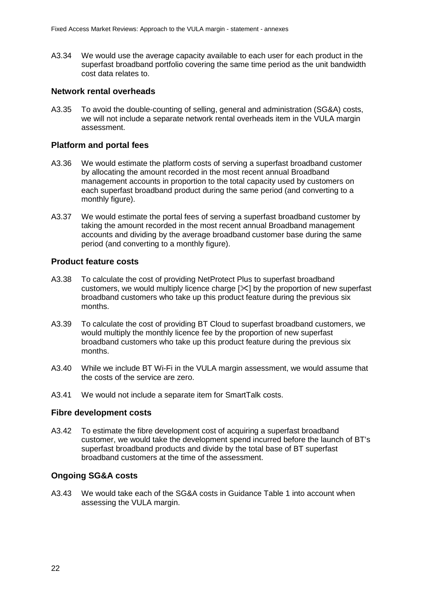A3.34 We would use the average capacity available to each user for each product in the superfast broadband portfolio covering the same time period as the unit bandwidth cost data relates to.

#### **Network rental overheads**

A3.35 To avoid the double-counting of selling, general and administration (SG&A) costs, we will not include a separate network rental overheads item in the VULA margin assessment.

#### **Platform and portal fees**

- A3.36 We would estimate the platform costs of serving a superfast broadband customer by allocating the amount recorded in the most recent annual Broadband management accounts in proportion to the total capacity used by customers on each superfast broadband product during the same period (and converting to a monthly figure).
- A3.37 We would estimate the portal fees of serving a superfast broadband customer by taking the amount recorded in the most recent annual Broadband management accounts and dividing by the average broadband customer base during the same period (and converting to a monthly figure).

#### **Product feature costs**

- A3.38 To calculate the cost of providing NetProtect Plus to superfast broadband customers, we would multiply licence charge  $[\times]$  by the proportion of new superfast broadband customers who take up this product feature during the previous six months.
- A3.39 To calculate the cost of providing BT Cloud to superfast broadband customers, we would multiply the monthly licence fee by the proportion of new superfast broadband customers who take up this product feature during the previous six months.
- A3.40 While we include BT Wi-Fi in the VULA margin assessment, we would assume that the costs of the service are zero.
- A3.41 We would not include a separate item for SmartTalk costs.

#### **Fibre development costs**

A3.42 To estimate the fibre development cost of acquiring a superfast broadband customer, we would take the development spend incurred before the launch of BT's superfast broadband products and divide by the total base of BT superfast broadband customers at the time of the assessment.

#### **Ongoing SG&A costs**

A3.43 We would take each of the SG&A costs in Guidance Table 1 into account when assessing the VULA margin.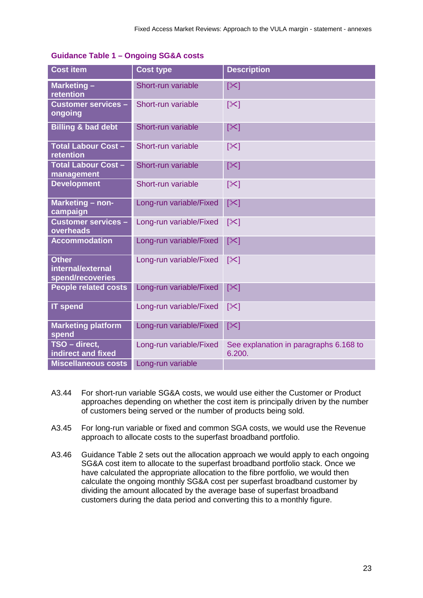| <b>Cost item</b>                                      | <b>Cost type</b>        | <b>Description</b>                               |
|-------------------------------------------------------|-------------------------|--------------------------------------------------|
| Marketing-<br>retention                               | Short-run variable      | $[\times]$                                       |
| <b>Customer services -</b><br>ongoing                 | Short-run variable      | $ \mathcal{X} $                                  |
| <b>Billing &amp; bad debt</b>                         | Short-run variable      | $[\times]$                                       |
| <b>Total Labour Cost-</b><br>retention                | Short-run variable      | $\left[\infty\right]$                            |
| <b>Total Labour Cost -</b><br>management              | Short-run variable      | $[\infty]$                                       |
| <b>Development</b>                                    | Short-run variable      | $[\infty]$                                       |
| Marketing - non-<br>campaign                          | Long-run variable/Fixed | $[\times]$                                       |
| <b>Customer services -</b><br>overheads               | Long-run variable/Fixed | $\left[\infty\right]$                            |
| <b>Accommodation</b>                                  | Long-run variable/Fixed | $[\times]$                                       |
| <b>Other</b><br>internal/external<br>spend/recoveries | Long-run variable/Fixed | $[\times]$                                       |
| <b>People related costs</b>                           | Long-run variable/Fixed | $[\times]$                                       |
| <b>IT spend</b>                                       | Long-run variable/Fixed | $[\times]$                                       |
| <b>Marketing platform</b><br>spend                    | Long-run variable/Fixed | $[\times]$                                       |
| TSO - direct,<br>indirect and fixed                   | Long-run variable/Fixed | See explanation in paragraphs 6.168 to<br>6.200. |
| <b>Miscellaneous costs</b>                            | Long-run variable       |                                                  |

#### **Guidance Table 1 – Ongoing SG&A costs**

- A3.44 For short-run variable SG&A costs, we would use either the Customer or Product approaches depending on whether the cost item is principally driven by the number of customers being served or the number of products being sold.
- A3.45 For long-run variable or fixed and common SGA costs, we would use the Revenue approach to allocate costs to the superfast broadband portfolio.
- A3.46 Guidance Table 2 sets out the allocation approach we would apply to each ongoing SG&A cost item to allocate to the superfast broadband portfolio stack. Once we have calculated the appropriate allocation to the fibre portfolio, we would then calculate the ongoing monthly SG&A cost per superfast broadband customer by dividing the amount allocated by the average base of superfast broadband customers during the data period and converting this to a monthly figure.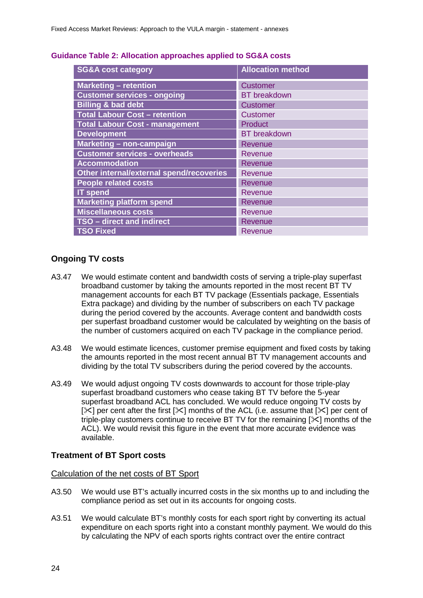| <b>SG&amp;A cost category</b>            | <b>Allocation method</b> |
|------------------------------------------|--------------------------|
| <b>Marketing - retention</b>             | <b>Customer</b>          |
| <b>Customer services - ongoing</b>       | <b>BT</b> breakdown      |
| <b>Billing &amp; bad debt</b>            | <b>Customer</b>          |
| <b>Total Labour Cost - retention</b>     | <b>Customer</b>          |
| <b>Total Labour Cost - management</b>    | <b>Product</b>           |
| <b>Development</b>                       | <b>BT</b> breakdown      |
| Marketing - non-campaign                 | <b>Revenue</b>           |
| <b>Customer services - overheads</b>     | Revenue                  |
| <b>Accommodation</b>                     | <b>Revenue</b>           |
| Other internal/external spend/recoveries | <b>Revenue</b>           |
| <b>People related costs</b>              | <b>Revenue</b>           |
| <b>IT</b> spend                          | Revenue                  |
| <b>Marketing platform spend</b>          | <b>Revenue</b>           |
| <b>Miscellaneous costs</b>               | Revenue                  |
| TSO - direct and indirect                | <b>Revenue</b>           |
| <b>TSO Fixed</b>                         | Revenue                  |

#### **Guidance Table 2: Allocation approaches applied to SG&A costs**

#### **Ongoing TV costs**

- A3.47 We would estimate content and bandwidth costs of serving a triple-play superfast broadband customer by taking the amounts reported in the most recent BT TV management accounts for each BT TV package (Essentials package, Essentials Extra package) and dividing by the number of subscribers on each TV package during the period covered by the accounts. Average content and bandwidth costs per superfast broadband customer would be calculated by weighting on the basis of the number of customers acquired on each TV package in the compliance period.
- A3.48 We would estimate licences, customer premise equipment and fixed costs by taking the amounts reported in the most recent annual BT TV management accounts and dividing by the total TV subscribers during the period covered by the accounts.
- A3.49 We would adjust ongoing TV costs downwards to account for those triple-play superfast broadband customers who cease taking BT TV before the 5-year superfast broadband ACL has concluded. We would reduce ongoing TV costs by  $[\times]$  per cent after the first  $[\times]$  months of the ACL (i.e. assume that  $[\times]$  per cent of triple-play customers continue to receive BT TV for the remaining  $[\times]$  months of the ACL). We would revisit this figure in the event that more accurate evidence was available.

#### **Treatment of BT Sport costs**

Calculation of the net costs of BT Sport

- A3.50 We would use BT's actually incurred costs in the six months up to and including the compliance period as set out in its accounts for ongoing costs.
- A3.51 We would calculate BT's monthly costs for each sport right by converting its actual expenditure on each sports right into a constant monthly payment. We would do this by calculating the NPV of each sports rights contract over the entire contract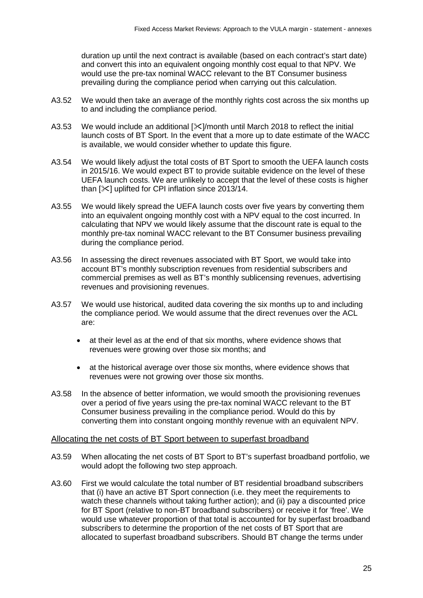duration up until the next contract is available (based on each contract's start date) and convert this into an equivalent ongoing monthly cost equal to that NPV. We would use the pre-tax nominal WACC relevant to the BT Consumer business prevailing during the compliance period when carrying out this calculation.

- A3.52 We would then take an average of the monthly rights cost across the six months up to and including the compliance period.
- A3.53 We would include an additional  $[\times]$ /month until March 2018 to reflect the initial launch costs of BT Sport. In the event that a more up to date estimate of the WACC is available, we would consider whether to update this figure.
- A3.54 We would likely adjust the total costs of BT Sport to smooth the UEFA launch costs in 2015/16. We would expect BT to provide suitable evidence on the level of these UEFA launch costs. We are unlikely to accept that the level of these costs is higher than  $[\times]$  uplifted for CPI inflation since 2013/14.
- A3.55 We would likely spread the UEFA launch costs over five years by converting them into an equivalent ongoing monthly cost with a NPV equal to the cost incurred. In calculating that NPV we would likely assume that the discount rate is equal to the monthly pre-tax nominal WACC relevant to the BT Consumer business prevailing during the compliance period.
- A3.56 In assessing the direct revenues associated with BT Sport, we would take into account BT's monthly subscription revenues from residential subscribers and commercial premises as well as BT's monthly sublicensing revenues, advertising revenues and provisioning revenues.
- A3.57 We would use historical, audited data covering the six months up to and including the compliance period. We would assume that the direct revenues over the ACL are:
	- at their level as at the end of that six months, where evidence shows that revenues were growing over those six months; and
	- at the historical average over those six months, where evidence shows that revenues were not growing over those six months.
- A3.58 In the absence of better information, we would smooth the provisioning revenues over a period of five years using the pre-tax nominal WACC relevant to the BT Consumer business prevailing in the compliance period. Would do this by converting them into constant ongoing monthly revenue with an equivalent NPV.

#### Allocating the net costs of BT Sport between to superfast broadband

- A3.59 When allocating the net costs of BT Sport to BT's superfast broadband portfolio, we would adopt the following two step approach.
- A3.60 First we would calculate the total number of BT residential broadband subscribers that (i) have an active BT Sport connection (i.e. they meet the requirements to watch these channels without taking further action); and (ii) pay a discounted price for BT Sport (relative to non-BT broadband subscribers) or receive it for 'free'. We would use whatever proportion of that total is accounted for by superfast broadband subscribers to determine the proportion of the net costs of BT Sport that are allocated to superfast broadband subscribers. Should BT change the terms under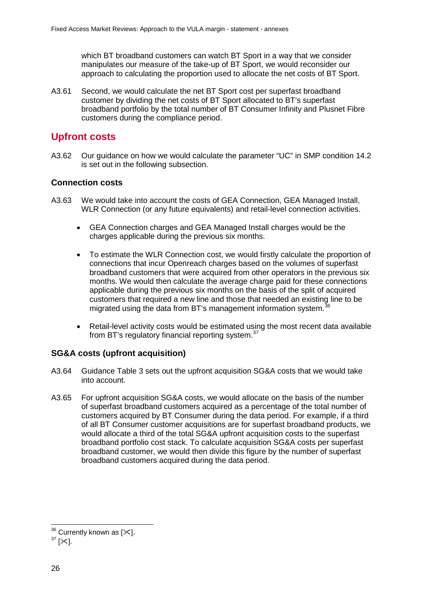which BT broadband customers can watch BT Sport in a way that we consider manipulates our measure of the take-up of BT Sport, we would reconsider our approach to calculating the proportion used to allocate the net costs of BT Sport.

A3.61 Second, we would calculate the net BT Sport cost per superfast broadband customer by dividing the net costs of BT Sport allocated to BT's superfast broadband portfolio by the total number of BT Consumer Infinity and Plusnet Fibre customers during the compliance period.

## **Upfront costs**

A3.62 Our guidance on how we would calculate the parameter "UC" in SMP condition 14.2 is set out in the following subsection.

#### **Connection costs**

- A3.63 We would take into account the costs of GEA Connection, GEA Managed Install, WLR Connection (or any future equivalents) and retail-level connection activities.
	- GEA Connection charges and GEA Managed Install charges would be the charges applicable during the previous six months.
	- To estimate the WLR Connection cost, we would firstly calculate the proportion of connections that incur Openreach charges based on the volumes of superfast broadband customers that were acquired from other operators in the previous six months. We would then calculate the average charge paid for these connections applicable during the previous six months on the basis of the split of acquired customers that required a new line and those that needed an existing line to be migrated using the data from BT's management information system.<sup>[36](#page-27-0)</sup>
	- Retail-level activity costs would be estimated using the most recent data available from BT's regulatory financial reporting system.<sup>[37](#page-27-1)</sup>

#### **SG&A costs (upfront acquisition)**

- A3.64 Guidance Table 3 sets out the upfront acquisition SG&A costs that we would take into account.
- A3.65 For upfront acquisition SG&A costs, we would allocate on the basis of the number of superfast broadband customers acquired as a percentage of the total number of customers acquired by BT Consumer during the data period. For example, if a third of all BT Consumer customer acquisitions are for superfast broadband products, we would allocate a third of the total SG&A upfront acquisition costs to the superfast broadband portfolio cost stack. To calculate acquisition SG&A costs per superfast broadband customer, we would then divide this figure by the number of superfast broadband customers acquired during the data period.

 $36$  Currently known as [ $\ll$ ].  $\overline{1}$ 

<span id="page-27-1"></span><span id="page-27-0"></span> $37$  [ $\times$ ].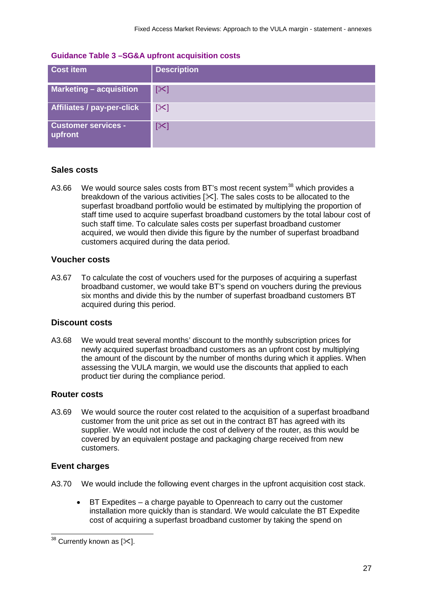| <b>Cost item</b>                      | <b>Description</b>    |
|---------------------------------------|-----------------------|
| <b>Marketing - acquisition</b>        | $\mathbb{K}$          |
| <b>Affiliates / pay-per-click</b>     | $[\times]$            |
| <b>Customer services -</b><br>upfront | $\left[\infty\right]$ |

#### **Guidance Table 3 –SG&A upfront acquisition costs**

#### **Sales costs**

A3.66 We would source sales costs from BT's most recent system<sup>[38](#page-28-0)</sup> which provides a breakdown of the various activities []. The sales costs to be allocated to the superfast broadband portfolio would be estimated by multiplying the proportion of staff time used to acquire superfast broadband customers by the total labour cost of such staff time. To calculate sales costs per superfast broadband customer acquired, we would then divide this figure by the number of superfast broadband customers acquired during the data period.

#### **Voucher costs**

A3.67 To calculate the cost of vouchers used for the purposes of acquiring a superfast broadband customer, we would take BT's spend on vouchers during the previous six months and divide this by the number of superfast broadband customers BT acquired during this period.

#### **Discount costs**

A3.68 We would treat several months' discount to the monthly subscription prices for newly acquired superfast broadband customers as an upfront cost by multiplying the amount of the discount by the number of months during which it applies. When assessing the VULA margin, we would use the discounts that applied to each product tier during the compliance period.

#### **Router costs**

A3.69 We would source the router cost related to the acquisition of a superfast broadband customer from the unit price as set out in the contract BT has agreed with its supplier. We would not include the cost of delivery of the router, as this would be covered by an equivalent postage and packaging charge received from new customers.

#### **Event charges**

- A3.70 We would include the following event charges in the upfront acquisition cost stack.
	- BT Expedites a charge payable to Openreach to carry out the customer installation more quickly than is standard. We would calculate the BT Expedite cost of acquiring a superfast broadband customer by taking the spend on

<span id="page-28-0"></span> $^{38}$  Currently known as [ $\Join$ ].  $\overline{a}$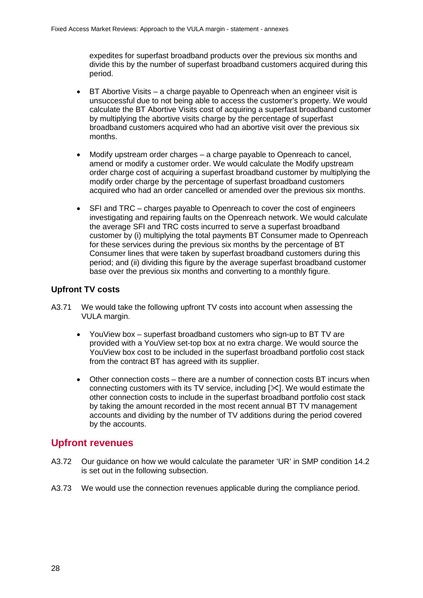expedites for superfast broadband products over the previous six months and divide this by the number of superfast broadband customers acquired during this period.

- BT Abortive Visits a charge payable to Openreach when an engineer visit is unsuccessful due to not being able to access the customer's property. We would calculate the BT Abortive Visits cost of acquiring a superfast broadband customer by multiplying the abortive visits charge by the percentage of superfast broadband customers acquired who had an abortive visit over the previous six months.
- Modify upstream order charges a charge payable to Openreach to cancel. amend or modify a customer order. We would calculate the Modify upstream order charge cost of acquiring a superfast broadband customer by multiplying the modify order charge by the percentage of superfast broadband customers acquired who had an order cancelled or amended over the previous six months.
- SFI and TRC charges payable to Openreach to cover the cost of engineers investigating and repairing faults on the Openreach network. We would calculate the average SFI and TRC costs incurred to serve a superfast broadband customer by (i) multiplying the total payments BT Consumer made to Openreach for these services during the previous six months by the percentage of BT Consumer lines that were taken by superfast broadband customers during this period; and (ii) dividing this figure by the average superfast broadband customer base over the previous six months and converting to a monthly figure.

## **Upfront TV costs**

- A3.71 We would take the following upfront TV costs into account when assessing the VULA margin.
	- YouView box superfast broadband customers who sign-up to BT TV are provided with a YouView set-top box at no extra charge. We would source the YouView box cost to be included in the superfast broadband portfolio cost stack from the contract BT has agreed with its supplier.
	- Other connection costs there are a number of connection costs BT incurs when connecting customers with its TV service, including []. We would estimate the other connection costs to include in the superfast broadband portfolio cost stack by taking the amount recorded in the most recent annual BT TV management accounts and dividing by the number of TV additions during the period covered by the accounts.

## **Upfront revenues**

- A3.72 Our guidance on how we would calculate the parameter 'UR' in SMP condition 14.2 is set out in the following subsection.
- A3.73 We would use the connection revenues applicable during the compliance period.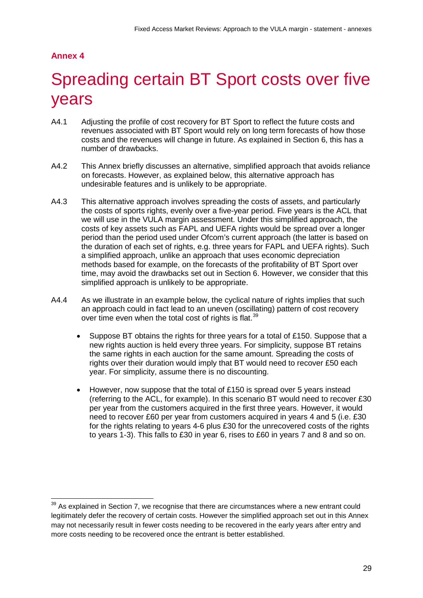## **Annex 4**

 $\overline{1}$ 

# <span id="page-30-0"></span>Spreading certain BT Sport costs over five years

- A4.1 Adjusting the profile of cost recovery for BT Sport to reflect the future costs and revenues associated with BT Sport would rely on long term forecasts of how those costs and the revenues will change in future. As explained in Section 6, this has a number of drawbacks.
- A4.2 This Annex briefly discusses an alternative, simplified approach that avoids reliance on forecasts. However, as explained below, this alternative approach has undesirable features and is unlikely to be appropriate.
- A4.3 This alternative approach involves spreading the costs of assets, and particularly the costs of sports rights, evenly over a five-year period. Five years is the ACL that we will use in the VULA margin assessment. Under this simplified approach, the costs of key assets such as FAPL and UEFA rights would be spread over a longer period than the period used under Ofcom's current approach (the latter is based on the duration of each set of rights, e.g. three years for FAPL and UEFA rights). Such a simplified approach, unlike an approach that uses economic depreciation methods based for example, on the forecasts of the profitability of BT Sport over time, may avoid the drawbacks set out in Section 6. However, we consider that this simplified approach is unlikely to be appropriate.
- A4.4 As we illustrate in an example below, the cyclical nature of rights implies that such an approach could in fact lead to an uneven (oscillating) pattern of cost recovery over time even when the total cost of rights is flat.<sup>[39](#page-30-1)</sup>
	- Suppose BT obtains the rights for three years for a total of £150. Suppose that a new rights auction is held every three years. For simplicity, suppose BT retains the same rights in each auction for the same amount. Spreading the costs of rights over their duration would imply that BT would need to recover £50 each year. For simplicity, assume there is no discounting.
	- However, now suppose that the total of £150 is spread over 5 years instead (referring to the ACL, for example). In this scenario BT would need to recover £30 per year from the customers acquired in the first three years. However, it would need to recover £60 per year from customers acquired in years 4 and 5 (i.e. £30 for the rights relating to years 4-6 plus £30 for the unrecovered costs of the rights to years 1-3). This falls to £30 in year 6, rises to £60 in years 7 and 8 and so on.

<span id="page-30-1"></span> $39$  As explained in Section 7, we recognise that there are circumstances where a new entrant could legitimately defer the recovery of certain costs. However the simplified approach set out in this Annex may not necessarily result in fewer costs needing to be recovered in the early years after entry and more costs needing to be recovered once the entrant is better established.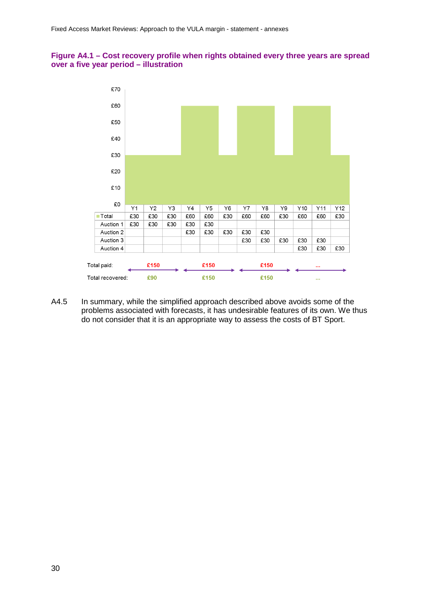#### **Figure A4.1 – Cost recovery profile when rights obtained every three years are spread over a five year period – illustration**



A4.5 In summary, while the simplified approach described above avoids some of the problems associated with forecasts, it has undesirable features of its own. We thus do not consider that it is an appropriate way to assess the costs of BT Sport.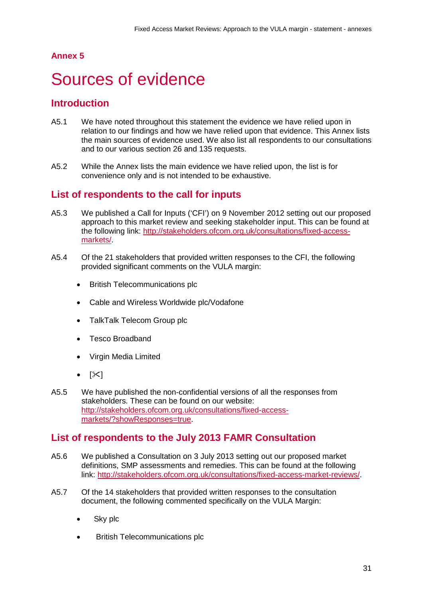## **Annex 5**

# <span id="page-32-0"></span>5 Sources of evidence

## **Introduction**

- A5.1 We have noted throughout this statement the evidence we have relied upon in relation to our findings and how we have relied upon that evidence. This Annex lists the main sources of evidence used. We also list all respondents to our consultations and to our various section 26 and 135 requests.
- A5.2 While the Annex lists the main evidence we have relied upon, the list is for convenience only and is not intended to be exhaustive.

## **List of respondents to the call for inputs**

- A5.3 We published a Call for Inputs ('CFI') on 9 November 2012 setting out our proposed approach to this market review and seeking stakeholder input. This can be found at the following link: [http://stakeholders.ofcom.org.uk/consultations/fixed-access](http://stakeholders.ofcom.org.uk/consultations/fixed-access-markets/)[markets/.](http://stakeholders.ofcom.org.uk/consultations/fixed-access-markets/)
- A5.4 Of the 21 stakeholders that provided written responses to the CFI, the following provided significant comments on the VULA margin:
	- British Telecommunications plc
	- Cable and Wireless Worldwide plc/Vodafone
	- TalkTalk Telecom Group plc
	- Tesco Broadband
	- Virgin Media Limited
	- $[\times]$
- A5.5 We have published the non-confidential versions of all the responses from stakeholders. These can be found on our website: [http://stakeholders.ofcom.org.uk/consultations/fixed-access](http://stakeholders.ofcom.org.uk/consultations/fixed-access-markets/?showResponses=true)[markets/?showResponses=true.](http://stakeholders.ofcom.org.uk/consultations/fixed-access-markets/?showResponses=true)

## **List of respondents to the July 2013 FAMR Consultation**

- A5.6 We published a Consultation on 3 July 2013 setting out our proposed market definitions, SMP assessments and remedies. This can be found at the following link: [http://stakeholders.ofcom.org.uk/consultations/fixed-access-market-reviews/.](http://stakeholders.ofcom.org.uk/consultations/fixed-access-market-reviews/)
- A5.7 Of the 14 stakeholders that provided written responses to the consultation document, the following commented specifically on the VULA Margin:
	- Sky plc
	- British Telecommunications plc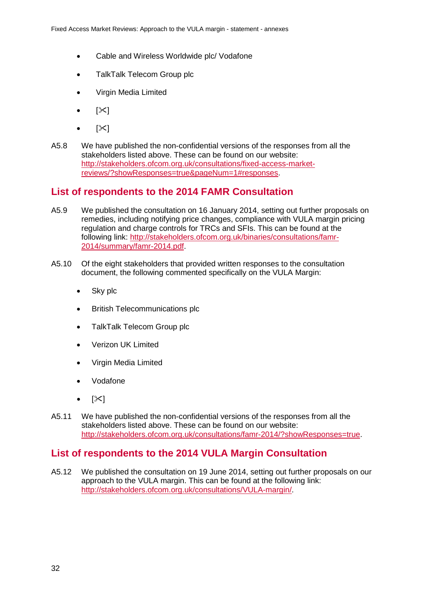- Cable and Wireless Worldwide plc/ Vodafone
- TalkTalk Telecom Group plc
- Virgin Media Limited
- $|\mathcal{X}|$
- $\geq$
- A5.8 We have published the non-confidential versions of the responses from all the stakeholders listed above. These can be found on our website: [http://stakeholders.ofcom.org.uk/consultations/fixed-access-market](http://stakeholders.ofcom.org.uk/consultations/fixed-access-market-reviews/?showResponses=true&pageNum=1%23responses)[reviews/?showResponses=true&pageNum=1#responses.](http://stakeholders.ofcom.org.uk/consultations/fixed-access-market-reviews/?showResponses=true&pageNum=1%23responses)

## **List of respondents to the 2014 FAMR Consultation**

- A5.9 We published the consultation on 16 January 2014, setting out further proposals on remedies, including notifying price changes, compliance with VULA margin pricing regulation and charge controls for TRCs and SFIs. This can be found at the following link: [http://stakeholders.ofcom.org.uk/binaries/consultations/famr-](http://stakeholders.ofcom.org.uk/binaries/consultations/famr-2014/summary/famr-2014.pdf)[2014/summary/famr-2014.pdf.](http://stakeholders.ofcom.org.uk/binaries/consultations/famr-2014/summary/famr-2014.pdf)
- A5.10 Of the eight stakeholders that provided written responses to the consultation document, the following commented specifically on the VULA Margin:
	- Sky plc
	- British Telecommunications plc
	- TalkTalk Telecom Group plc
	- Verizon UK Limited
	- Virgin Media Limited
	- Vodafone
	- $[\mathbb{X}]$
- A5.11 We have published the non-confidential versions of the responses from all the stakeholders listed above. These can be found on our website: [http://stakeholders.ofcom.org.uk/consultations/famr-2014/?showResponses=true.](http://stakeholders.ofcom.org.uk/consultations/famr-2014/?showResponses=true)

# **List of respondents to the 2014 VULA Margin Consultation**

A5.12 We published the consultation on 19 June 2014, setting out further proposals on our approach to the VULA margin. This can be found at the following link: [http://stakeholders.ofcom.org.uk/consultations/VULA-margin/.](http://stakeholders.ofcom.org.uk/consultations/VULA-margin/)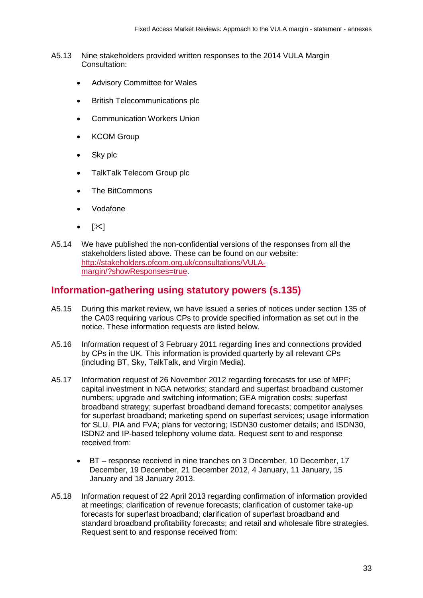- A5.13 Nine stakeholders provided written responses to the 2014 VULA Margin Consultation:
	- Advisory Committee for Wales
	- British Telecommunications plc
	- Communication Workers Union
	- **KCOM Group**
	- Sky plc
	- TalkTalk Telecom Group plc
	- The BitCommons
	- Vodafone
	- $[\mathbb{X}]$
- A5.14 We have published the non-confidential versions of the responses from all the stakeholders listed above. These can be found on our website: [http://stakeholders.ofcom.org.uk/consultations/VULA](http://stakeholders.ofcom.org.uk/consultations/VULA-margin/?showResponses=true)[margin/?showResponses=true.](http://stakeholders.ofcom.org.uk/consultations/VULA-margin/?showResponses=true)

## **Information-gathering using statutory powers (s.135)**

- A5.15 During this market review, we have issued a series of notices under section 135 of the CA03 requiring various CPs to provide specified information as set out in the notice. These information requests are listed below.
- A5.16 Information request of 3 February 2011 regarding lines and connections provided by CPs in the UK. This information is provided quarterly by all relevant CPs (including BT, Sky, TalkTalk, and Virgin Media).
- A5.17 Information request of 26 November 2012 regarding forecasts for use of MPF; capital investment in NGA networks; standard and superfast broadband customer numbers; upgrade and switching information; GEA migration costs; superfast broadband strategy; superfast broadband demand forecasts; competitor analyses for superfast broadband; marketing spend on superfast services; usage information for SLU, PIA and FVA; plans for vectoring; ISDN30 customer details; and ISDN30, ISDN2 and IP-based telephony volume data. Request sent to and response received from:
	- BT response received in nine tranches on 3 December, 10 December, 17 December, 19 December, 21 December 2012, 4 January, 11 January, 15 January and 18 January 2013.
- A5.18 Information request of 22 April 2013 regarding confirmation of information provided at meetings; clarification of revenue forecasts; clarification of customer take-up forecasts for superfast broadband; clarification of superfast broadband and standard broadband profitability forecasts; and retail and wholesale fibre strategies. Request sent to and response received from: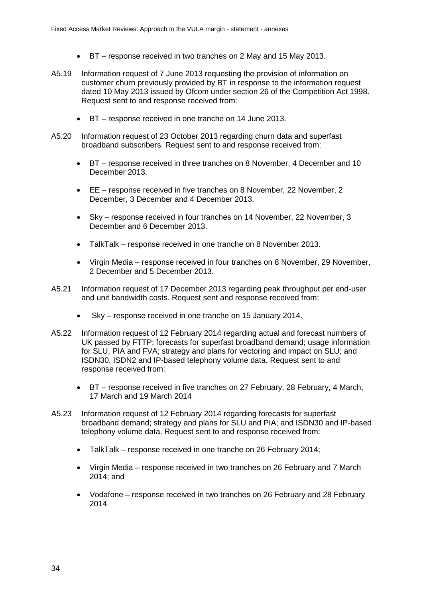- BT response received in two tranches on 2 May and 15 May 2013.
- A5.19 Information request of 7 June 2013 requesting the provision of information on customer churn previously provided by BT in response to the information request dated 10 May 2013 issued by Ofcom under section 26 of the Competition Act 1998. Request sent to and response received from:
	- BT response received in one tranche on 14 June 2013.
- A5.20 Information request of 23 October 2013 regarding churn data and superfast broadband subscribers. Request sent to and response received from:
	- BT response received in three tranches on 8 November, 4 December and 10 December 2013.
	- EE response received in five tranches on 8 November, 22 November, 2 December, 3 December and 4 December 2013.
	- Sky response received in four tranches on 14 November, 22 November, 3 December and 6 December 2013.
	- TalkTalk response received in one tranche on 8 November 2013.
	- Virgin Media response received in four tranches on 8 November, 29 November, 2 December and 5 December 2013.
- A5.21 Information request of 17 December 2013 regarding peak throughput per end-user and unit bandwidth costs. Request sent and response received from:
	- Sky response received in one tranche on 15 January 2014.
- A5.22 Information request of 12 February 2014 regarding actual and forecast numbers of UK passed by FTTP; forecasts for superfast broadband demand; usage information for SLU, PIA and FVA; strategy and plans for vectoring and impact on SLU; and ISDN30, ISDN2 and IP-based telephony volume data. Request sent to and response received from:
	- BT response received in five tranches on 27 February, 28 February, 4 March, 17 March and 19 March 2014
- A5.23 Information request of 12 February 2014 regarding forecasts for superfast broadband demand; strategy and plans for SLU and PIA; and ISDN30 and IP-based telephony volume data. Request sent to and response received from:
	- TalkTalk response received in one tranche on 26 February 2014;
	- Virgin Media response received in two tranches on 26 February and 7 March 2014; and
	- Vodafone response received in two tranches on 26 February and 28 February 2014.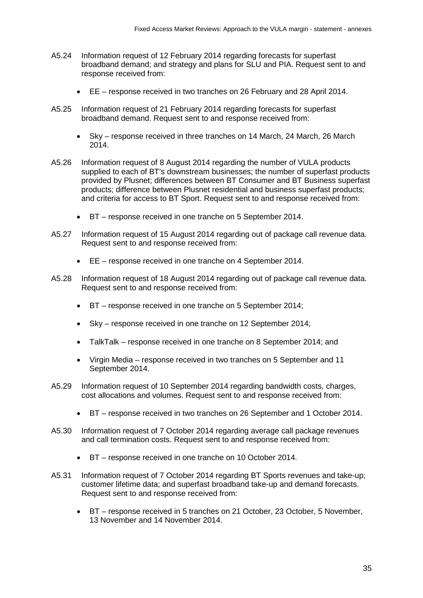- A5.24 Information request of 12 February 2014 regarding forecasts for superfast broadband demand; and strategy and plans for SLU and PIA. Request sent to and response received from:
	- EE response received in two tranches on 26 February and 28 April 2014.
- A5.25 Information request of 21 February 2014 regarding forecasts for superfast broadband demand. Request sent to and response received from:
	- Sky response received in three tranches on 14 March, 24 March, 26 March 2014.
- A5.26 Information request of 8 August 2014 regarding the number of VULA products supplied to each of BT's downstream businesses; the number of superfast products provided by Plusnet; differences between BT Consumer and BT Business superfast products; difference between Plusnet residential and business superfast products; and criteria for access to BT Sport. Request sent to and response received from:
	- BT response received in one tranche on 5 September 2014.
- A5.27 Information request of 15 August 2014 regarding out of package call revenue data. Request sent to and response received from:
	- EE response received in one tranche on 4 September 2014.
- A5.28 Information request of 18 August 2014 regarding out of package call revenue data. Request sent to and response received from:
	- BT response received in one tranche on 5 September 2014;
	- Sky response received in one tranche on 12 September 2014;
	- TalkTalk response received in one tranche on 8 September 2014; and
	- Virgin Media response received in two tranches on 5 September and 11 September 2014.
- A5.29 Information request of 10 September 2014 regarding bandwidth costs, charges, cost allocations and volumes. Request sent to and response received from:
	- BT response received in two tranches on 26 September and 1 October 2014.
- A5.30 Information request of 7 October 2014 regarding average call package revenues and call termination costs. Request sent to and response received from:
	- BT response received in one tranche on 10 October 2014.
- A5.31 Information request of 7 October 2014 regarding BT Sports revenues and take-up; customer lifetime data; and superfast broadband take-up and demand forecasts. Request sent to and response received from:
	- BT response received in 5 tranches on 21 October, 23 October, 5 November, 13 November and 14 November 2014.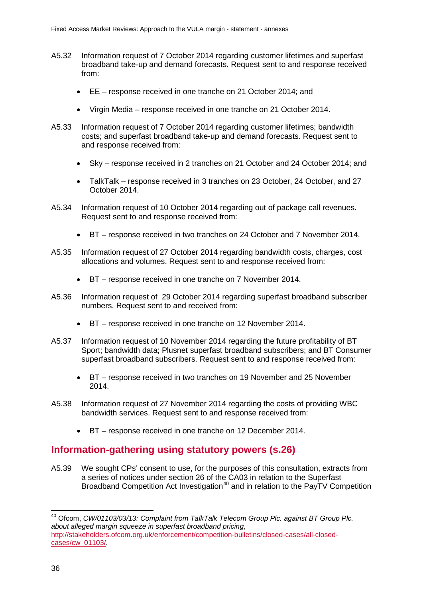- A5.32 Information request of 7 October 2014 regarding customer lifetimes and superfast broadband take-up and demand forecasts. Request sent to and response received from:
	- EE response received in one tranche on 21 October 2014; and
	- Virgin Media response received in one tranche on 21 October 2014.
- A5.33 Information request of 7 October 2014 regarding customer lifetimes; bandwidth costs; and superfast broadband take-up and demand forecasts. Request sent to and response received from:
	- Sky response received in 2 tranches on 21 October and 24 October 2014; and
	- TalkTalk response received in 3 tranches on 23 October, 24 October, and 27 October 2014.
- A5.34 Information request of 10 October 2014 regarding out of package call revenues. Request sent to and response received from:
	- BT response received in two tranches on 24 October and 7 November 2014.
- A5.35 Information request of 27 October 2014 regarding bandwidth costs, charges, cost allocations and volumes. Request sent to and response received from:
	- BT response received in one tranche on 7 November 2014.
- A5.36 Information request of 29 October 2014 regarding superfast broadband subscriber numbers. Request sent to and received from:
	- BT response received in one tranche on 12 November 2014.
- A5.37 Information request of 10 November 2014 regarding the future profitability of BT Sport; bandwidth data; Plusnet superfast broadband subscribers; and BT Consumer superfast broadband subscribers. Request sent to and response received from:
	- BT response received in two tranches on 19 November and 25 November 2014.
- A5.38 Information request of 27 November 2014 regarding the costs of providing WBC bandwidth services. Request sent to and response received from:
	- BT response received in one tranche on 12 December 2014.

## **Information-gathering using statutory powers (s.26)**

A5.39 We sought CPs' consent to use, for the purposes of this consultation, extracts from a series of notices under section 26 of the CA03 in relation to the Superfast Broadband Competition Act Investigation<sup>[40](#page-37-0)</sup> and in relation to the PayTV Competition

 $\overline{\phantom{a}}$ 

<span id="page-37-0"></span><sup>40</sup> Ofcom, *CW/01103/03/13: Complaint from TalkTalk Telecom Group Plc. against BT Group Plc. about alleged margin squeeze in superfast broadband pricing*, [http://stakeholders.ofcom.org.uk/enforcement/competition-bulletins/closed-cases/all-closed](http://stakeholders.ofcom.org.uk/enforcement/competition-bulletins/closed-cases/all-closed-cases/cw_01103/)[cases/cw\\_01103/.](http://stakeholders.ofcom.org.uk/enforcement/competition-bulletins/closed-cases/all-closed-cases/cw_01103/)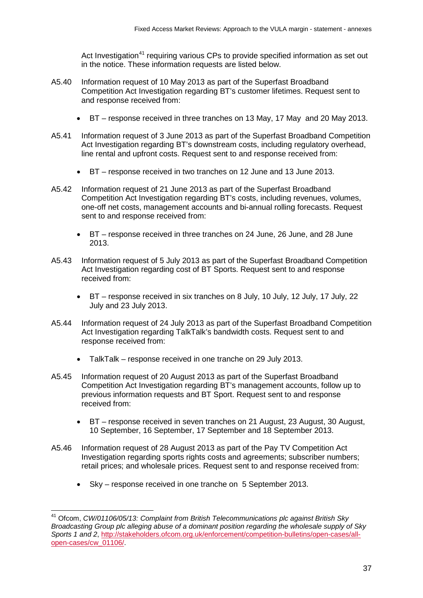Act Investigation<sup>[41](#page-38-0)</sup> requiring various CPs to provide specified information as set out in the notice. These information requests are listed below.

- A5.40 Information request of 10 May 2013 as part of the Superfast Broadband Competition Act Investigation regarding BT's customer lifetimes. Request sent to and response received from:
	- BT response received in three tranches on 13 May, 17 May and 20 May 2013.
- A5.41 Information request of 3 June 2013 as part of the Superfast Broadband Competition Act Investigation regarding BT's downstream costs, including regulatory overhead, line rental and upfront costs. Request sent to and response received from:
	- BT response received in two tranches on 12 June and 13 June 2013.
- A5.42 Information request of 21 June 2013 as part of the Superfast Broadband Competition Act Investigation regarding BT's costs, including revenues, volumes, one-off net costs, management accounts and bi-annual rolling forecasts. Request sent to and response received from:
	- BT response received in three tranches on 24 June, 26 June, and 28 June 2013.
- A5.43 Information request of 5 July 2013 as part of the Superfast Broadband Competition Act Investigation regarding cost of BT Sports. Request sent to and response received from:
	- BT response received in six tranches on 8 July, 10 July, 12 July, 17 July, 22 July and 23 July 2013.
- A5.44 Information request of 24 July 2013 as part of the Superfast Broadband Competition Act Investigation regarding TalkTalk's bandwidth costs. Request sent to and response received from:
	- TalkTalk response received in one tranche on 29 July 2013.
- A5.45 Information request of 20 August 2013 as part of the Superfast Broadband Competition Act Investigation regarding BT's management accounts, follow up to previous information requests and BT Sport. Request sent to and response received from:
	- BT response received in seven tranches on 21 August, 23 August, 30 August, 10 September, 16 September, 17 September and 18 September 2013.
- A5.46 Information request of 28 August 2013 as part of the Pay TV Competition Act Investigation regarding sports rights costs and agreements; subscriber numbers; retail prices; and wholesale prices. Request sent to and response received from:
	- Sky response received in one tranche on 5 September 2013.

<span id="page-38-0"></span><sup>41</sup> Ofcom, *CW/01106/05/13: Complaint from British Telecommunications plc against British Sky Broadcasting Group plc alleging abuse of a dominant position regarding the wholesale supply of Sky Sports 1 and 2*, [http://stakeholders.ofcom.org.uk/enforcement/competition-bulletins/open-cases/all](http://stakeholders.ofcom.org.uk/enforcement/competition-bulletins/open-cases/all-open-cases/cw_01106/)[open-cases/cw\\_01106/.](http://stakeholders.ofcom.org.uk/enforcement/competition-bulletins/open-cases/all-open-cases/cw_01106/)  $\overline{\phantom{a}}$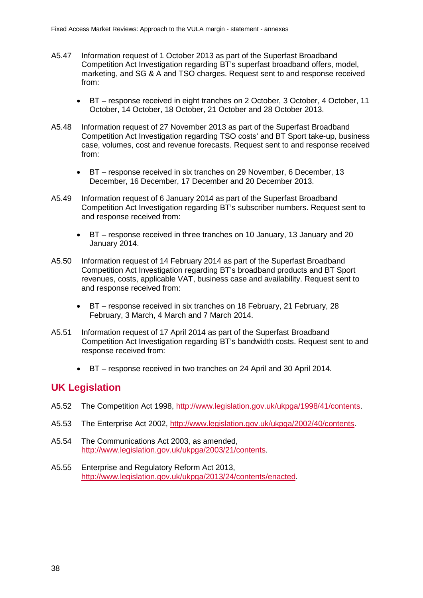- A5.47 Information request of 1 October 2013 as part of the Superfast Broadband Competition Act Investigation regarding BT's superfast broadband offers, model, marketing, and SG & A and TSO charges. Request sent to and response received from:
	- BT response received in eight tranches on 2 October, 3 October, 4 October, 11 October, 14 October, 18 October, 21 October and 28 October 2013.
- A5.48 Information request of 27 November 2013 as part of the Superfast Broadband Competition Act Investigation regarding TSO costs' and BT Sport take-up, business case, volumes, cost and revenue forecasts. Request sent to and response received from:
	- BT response received in six tranches on 29 November, 6 December, 13 December, 16 December, 17 December and 20 December 2013.
- A5.49 Information request of 6 January 2014 as part of the Superfast Broadband Competition Act Investigation regarding BT's subscriber numbers. Request sent to and response received from:
	- BT response received in three tranches on 10 January, 13 January and 20 January 2014.
- A5.50 Information request of 14 February 2014 as part of the Superfast Broadband Competition Act Investigation regarding BT's broadband products and BT Sport revenues, costs, applicable VAT, business case and availability. Request sent to and response received from:
	- BT response received in six tranches on 18 February, 21 February, 28 February, 3 March, 4 March and 7 March 2014.
- A5.51 Information request of 17 April 2014 as part of the Superfast Broadband Competition Act Investigation regarding BT's bandwidth costs. Request sent to and response received from:
	- BT response received in two tranches on 24 April and 30 April 2014.

## **UK Legislation**

- A5.52 The Competition Act 1998, [http://www.legislation.gov.uk/ukpga/1998/41/contents.](http://www.legislation.gov.uk/ukpga/1998/41/contents)
- A5.53 The Enterprise Act 2002, [http://www.legislation.gov.uk/ukpga/2002/40/contents.](http://www.legislation.gov.uk/ukpga/2002/40/contents)
- A5.54 The Communications Act 2003, as amended, [http://www.legislation.gov.uk/ukpga/2003/21/contents.](http://www.legislation.gov.uk/ukpga/2003/21/contents)
- A5.55 Enterprise and Regulatory Reform Act 2013, [http://www.legislation.gov.uk/ukpga/2013/24/contents/enacted.](http://www.legislation.gov.uk/ukpga/2013/24/contents/enacted)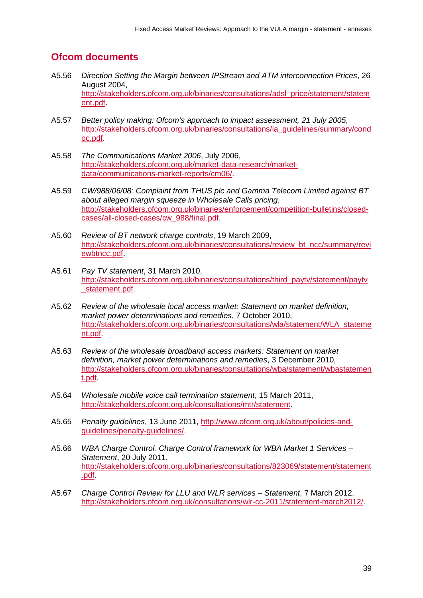# **Ofcom documents**

- A5.56 *Direction Setting the Margin between IPStream and ATM interconnection Prices*, 26 August 2004, [http://stakeholders.ofcom.org.uk/binaries/consultations/adsl\\_price/statement/statem](http://stakeholders.ofcom.org.uk/binaries/consultations/adsl_price/statement/statement.pdf) [ent.pdf.](http://stakeholders.ofcom.org.uk/binaries/consultations/adsl_price/statement/statement.pdf)
- A5.57 *Better policy making: Ofcom's approach to impact assessment, 21 July 2005*, [http://stakeholders.ofcom.org.uk/binaries/consultations/ia\\_guidelines/summary/cond](http://stakeholders.ofcom.org.uk/binaries/consultations/ia_guidelines/summary/condoc.pdf) [oc.pdf.](http://stakeholders.ofcom.org.uk/binaries/consultations/ia_guidelines/summary/condoc.pdf)
- A5.58 *The Communications Market 2006*, July 2006, [http://stakeholders.ofcom.org.uk/market-data-research/market](http://stakeholders.ofcom.org.uk/market-data-research/market-data/communications-market-reports/cm06/)[data/communications-market-reports/cm06/.](http://stakeholders.ofcom.org.uk/market-data-research/market-data/communications-market-reports/cm06/)
- A5.59 *CW/988/06/08: Complaint from THUS plc and Gamma Telecom Limited against BT about alleged margin squeeze in Wholesale Calls pricing*, [http://stakeholders.ofcom.org.uk/binaries/enforcement/competition-bulletins/closed](http://stakeholders.ofcom.org.uk/binaries/enforcement/competition-bulletins/closed-cases/all-closed-cases/cw_988/final.pdf)[cases/all-closed-cases/cw\\_988/final.pdf.](http://stakeholders.ofcom.org.uk/binaries/enforcement/competition-bulletins/closed-cases/all-closed-cases/cw_988/final.pdf)
- A5.60 *Review of BT network charge controls*, 19 March 2009, [http://stakeholders.ofcom.org.uk/binaries/consultations/review\\_bt\\_ncc/summary/revi](http://stakeholders.ofcom.org.uk/binaries/consultations/review_bt_ncc/summary/reviewbtncc.pdf) [ewbtncc.pdf.](http://stakeholders.ofcom.org.uk/binaries/consultations/review_bt_ncc/summary/reviewbtncc.pdf)
- A5.61 *Pay TV statement*, 31 March 2010, [http://stakeholders.ofcom.org.uk/binaries/consultations/third\\_paytv/statement/paytv](http://stakeholders.ofcom.org.uk/binaries/consultations/third_paytv/statement/paytv_statement.pdf) [\\_statement.pdf.](http://stakeholders.ofcom.org.uk/binaries/consultations/third_paytv/statement/paytv_statement.pdf)
- A5.62 *Review of the wholesale local access market: Statement on market definition, market power determinations and remedies*, 7 October 2010, [http://stakeholders.ofcom.org.uk/binaries/consultations/wla/statement/WLA\\_stateme](http://stakeholders.ofcom.org.uk/binaries/consultations/wla/statement/WLA_statement.pdf) [nt.pdf.](http://stakeholders.ofcom.org.uk/binaries/consultations/wla/statement/WLA_statement.pdf)
- A5.63 *Review of the wholesale broadband access markets: Statement on market definition, market power determinations and remedies*, 3 December 2010, [http://stakeholders.ofcom.org.uk/binaries/consultations/wba/statement/wbastatemen](http://stakeholders.ofcom.org.uk/binaries/consultations/wba/statement/wbastatement.pdf) [t.pdf.](http://stakeholders.ofcom.org.uk/binaries/consultations/wba/statement/wbastatement.pdf)
- A5.64 *Wholesale mobile voice call termination statement*, 15 March 2011, [http://stakeholders.ofcom.org.uk/consultations/mtr/statement.](http://stakeholders.ofcom.org.uk/consultations/mtr/statement)
- A5.65 *Penalty guidelines*, 13 June 2011, [http://www.ofcom.org.uk/about/policies-and](http://www.ofcom.org.uk/about/policies-and-guidelines/penalty-guidelines/)[guidelines/penalty-guidelines/.](http://www.ofcom.org.uk/about/policies-and-guidelines/penalty-guidelines/)
- A5.66 *WBA Charge Control. Charge Control framework for WBA Market 1 Services – Statement*, 20 July 2011, [http://stakeholders.ofcom.org.uk/binaries/consultations/823069/statement/statement](http://stakeholders.ofcom.org.uk/binaries/consultations/823069/statement/statement.pdf) [.pdf.](http://stakeholders.ofcom.org.uk/binaries/consultations/823069/statement/statement.pdf)
- A5.67 *Charge Control Review for LLU and WLR services – Statement*, 7 March 2012. [http://stakeholders.ofcom.org.uk/consultations/wlr-cc-2011/statement-march2012/.](http://stakeholders.ofcom.org.uk/consultations/wlr-cc-2011/statement-march2012/)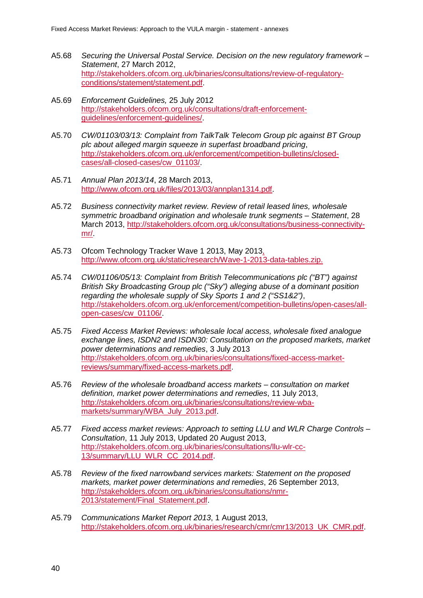- A5.68 *Securing the Universal Postal Service. Decision on the new regulatory framework – Statement*, 27 March 2012, [http://stakeholders.ofcom.org.uk/binaries/consultations/review-of-regulatory](http://stakeholders.ofcom.org.uk/binaries/consultations/review-of-regulatory-conditions/statement/statement.pdf)[conditions/statement/statement.pdf.](http://stakeholders.ofcom.org.uk/binaries/consultations/review-of-regulatory-conditions/statement/statement.pdf)
- A5.69 *Enforcement Guidelines,* 25 July 2012 [http://stakeholders.ofcom.org.uk/consultations/draft-enforcement](http://stakeholders.ofcom.org.uk/consultations/draft-enforcement-guidelines/enforcement-guidelines/)[guidelines/enforcement-guidelines/.](http://stakeholders.ofcom.org.uk/consultations/draft-enforcement-guidelines/enforcement-guidelines/)
- A5.70 *CW/01103/03/13: Complaint from TalkTalk Telecom Group plc against BT Group plc about alleged margin squeeze in superfast broadband pricing*, [http://stakeholders.ofcom.org.uk/enforcement/competition-bulletins/closed](http://stakeholders.ofcom.org.uk/enforcement/competition-bulletins/closed-cases/all-closed-cases/cw_01103/)[cases/all-closed-cases/cw\\_01103/.](http://stakeholders.ofcom.org.uk/enforcement/competition-bulletins/closed-cases/all-closed-cases/cw_01103/)
- A5.71 *Annual Plan 2013/14*, 28 March 2013, [http://www.ofcom.org.uk/files/2013/03/annplan1314.pdf.](http://www.ofcom.org.uk/files/2013/03/annplan1314.pdf)
- A5.72 *Business connectivity market review. Review of retail leased lines, wholesale symmetric broadband origination and wholesale trunk segments – Statement*, 28 March 2013, [http://stakeholders.ofcom.org.uk/consultations/business-connectivity](http://stakeholders.ofcom.org.uk/consultations/business-connectivity-mr/)[mr/.](http://stakeholders.ofcom.org.uk/consultations/business-connectivity-mr/)
- A5.73 Ofcom Technology Tracker Wave 1 2013, May 2013, [http://www.ofcom.org.uk/static/research/Wave-1-2013-data-tables.zip.](http://www.ofcom.org.uk/static/research/Wave-1-2013-data-tables.zip)
- A5.74 *CW/01106/05/13: Complaint from British Telecommunications plc ("BT") against British Sky Broadcasting Group plc ("Sky") alleging abuse of a dominant position regarding the wholesale supply of Sky Sports 1 and 2 ("SS1&2")*, [http://stakeholders.ofcom.org.uk/enforcement/competition-bulletins/open-cases/all](http://stakeholders.ofcom.org.uk/enforcement/competition-bulletins/open-cases/all-open-cases/cw_01106/)[open-cases/cw\\_01106/.](http://stakeholders.ofcom.org.uk/enforcement/competition-bulletins/open-cases/all-open-cases/cw_01106/)
- A5.75 *Fixed Access Market Reviews: wholesale local access, wholesale fixed analogue exchange lines, ISDN2 and ISDN30: Consultation on the proposed markets, market power determinations and remedies*, 3 July 2013 [http://stakeholders.ofcom.org.uk/binaries/consultations/fixed-access-market](http://stakeholders.ofcom.org.uk/binaries/consultations/fixed-access-market-reviews/summary/fixed-access-markets.pdf)[reviews/summary/fixed-access-markets.pdf.](http://stakeholders.ofcom.org.uk/binaries/consultations/fixed-access-market-reviews/summary/fixed-access-markets.pdf)
- A5.76 *Review of the wholesale broadband access markets – consultation on market definition, market power determinations and remedies*, 11 July 2013, [http://stakeholders.ofcom.org.uk/binaries/consultations/review-wba](http://stakeholders.ofcom.org.uk/binaries/consultations/review-wba-markets/summary/WBA_July_2013.pdf)[markets/summary/WBA\\_July\\_2013.pdf.](http://stakeholders.ofcom.org.uk/binaries/consultations/review-wba-markets/summary/WBA_July_2013.pdf)
- A5.77 *Fixed access market reviews: Approach to setting LLU and WLR Charge Controls – Consultation*, 11 July 2013, Updated 20 August 2013, [http://stakeholders.ofcom.org.uk/binaries/consultations/llu-wlr-cc-](http://stakeholders.ofcom.org.uk/binaries/consultations/llu-wlr-cc-13/summary/LLU_WLR_CC_2014.pdf)[13/summary/LLU\\_WLR\\_CC\\_2014.pdf.](http://stakeholders.ofcom.org.uk/binaries/consultations/llu-wlr-cc-13/summary/LLU_WLR_CC_2014.pdf)
- A5.78 *Review of the fixed narrowband services markets: Statement on the proposed markets, market power determinations and remedies*, 26 September 2013, [http://stakeholders.ofcom.org.uk/binaries/consultations/nmr-](http://stakeholders.ofcom.org.uk/binaries/consultations/nmr-2013/statement/Final_Statement.pdf)[2013/statement/Final\\_Statement.pdf.](http://stakeholders.ofcom.org.uk/binaries/consultations/nmr-2013/statement/Final_Statement.pdf)
- A5.79 *Communications Market Report 2013*, 1 August 2013, [http://stakeholders.ofcom.org.uk/binaries/research/cmr/cmr13/2013\\_UK\\_CMR.pdf.](http://stakeholders.ofcom.org.uk/binaries/research/cmr/cmr13/2013_UK_CMR.pdf)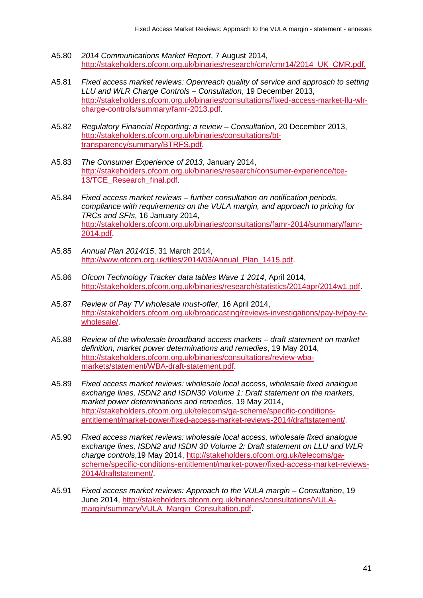- A5.80 *2014 Communications Market Report*, 7 August 2014, [http://stakeholders.ofcom.org.uk/binaries/research/cmr/cmr14/2014\\_UK\\_CMR.pdf.](http://stakeholders.ofcom.org.uk/binaries/research/cmr/cmr14/2014_UK_CMR.pdf)
- A5.81 *Fixed access market reviews: Openreach quality of service and approach to setting LLU and WLR Charge Controls – Consultation*, 19 December 2013, [http://stakeholders.ofcom.org.uk/binaries/consultations/fixed-access-market-llu-wlr](http://stakeholders.ofcom.org.uk/binaries/consultations/fixed-access-market-llu-wlr-charge-controls/summary/famr-2013.pdf)[charge-controls/summary/famr-2013.pdf.](http://stakeholders.ofcom.org.uk/binaries/consultations/fixed-access-market-llu-wlr-charge-controls/summary/famr-2013.pdf)
- A5.82 *Regulatory Financial Reporting: a review – Consultation*, 20 December 2013, [http://stakeholders.ofcom.org.uk/binaries/consultations/bt](http://stakeholders.ofcom.org.uk/binaries/consultations/bt-transparency/summary/BTRFS.pdf)[transparency/summary/BTRFS.pdf.](http://stakeholders.ofcom.org.uk/binaries/consultations/bt-transparency/summary/BTRFS.pdf)
- A5.83 *The Consumer Experience of 2013*, January 2014, [http://stakeholders.ofcom.org.uk/binaries/research/consumer-experience/tce-](http://stakeholders.ofcom.org.uk/binaries/research/consumer-experience/tce-13/TCE_Research_final.pdf)13/TCE\_Research\_final.pdf
- A5.84 *Fixed access market reviews – further consultation on notification periods, compliance with requirements on the VULA margin, and approach to pricing for TRCs and SFIs*, 16 January 2014, [http://stakeholders.ofcom.org.uk/binaries/consultations/famr-2014/summary/famr-](http://stakeholders.ofcom.org.uk/binaries/consultations/famr-2014/summary/famr-2014.pdf)[2014.pdf.](http://stakeholders.ofcom.org.uk/binaries/consultations/famr-2014/summary/famr-2014.pdf)
- A5.85 *Annual Plan 2014/15*, 31 March 2014, [http://www.ofcom.org.uk/files/2014/03/Annual\\_Plan\\_1415.pdf.](http://www.ofcom.org.uk/files/2014/03/Annual_Plan_1415.pdf)
- A5.86 *Ofcom Technology Tracker data tables Wave 1 2014*, April 2014, [http://stakeholders.ofcom.org.uk/binaries/research/statistics/2014apr/2014w1.pdf.](http://stakeholders.ofcom.org.uk/binaries/research/statistics/2014apr/2014w1.pdf)
- A5.87 *Review of Pay TV wholesale must-offer*, 16 April 2014, [http://stakeholders.ofcom.org.uk/broadcasting/reviews-investigations/pay-tv/pay-tv](http://stakeholders.ofcom.org.uk/broadcasting/reviews-investigations/pay-tv/pay-tv-wholesale/)[wholesale/.](http://stakeholders.ofcom.org.uk/broadcasting/reviews-investigations/pay-tv/pay-tv-wholesale/)
- A5.88 *Review of the wholesale broadband access markets – draft statement on market definition, market power determinations and remedies*, 19 May 2014, [http://stakeholders.ofcom.org.uk/binaries/consultations/review-wba](http://stakeholders.ofcom.org.uk/binaries/consultations/review-wba-markets/statement/WBA-draft-statement.pdf)[markets/statement/WBA-draft-statement.pdf.](http://stakeholders.ofcom.org.uk/binaries/consultations/review-wba-markets/statement/WBA-draft-statement.pdf)
- A5.89 *Fixed access market reviews: wholesale local access, wholesale fixed analogue exchange lines, ISDN2 and ISDN30 Volume 1: Draft statement on the markets, market power determinations and remedies*, 19 May 2014, [http://stakeholders.ofcom.org.uk/telecoms/ga-scheme/specific-conditions](http://stakeholders.ofcom.org.uk/telecoms/ga-scheme/specific-conditions-entitlement/market-power/fixed-access-market-reviews-2014/draftstatement/)[entitlement/market-power/fixed-access-market-reviews-2014/draftstatement/.](http://stakeholders.ofcom.org.uk/telecoms/ga-scheme/specific-conditions-entitlement/market-power/fixed-access-market-reviews-2014/draftstatement/)
- A5.90 *Fixed access market reviews: wholesale local access, wholesale fixed analogue exchange lines, ISDN2 and ISDN 30 Volume 2: Draft statement on LLU and WLR charge controls*,19 May 2014, [http://stakeholders.ofcom.org.uk/telecoms/ga](http://stakeholders.ofcom.org.uk/telecoms/ga-scheme/specific-conditions-entitlement/market-power/fixed-access-market-reviews-2014/draftstatement/)[scheme/specific-conditions-entitlement/market-power/fixed-access-market-reviews-](http://stakeholders.ofcom.org.uk/telecoms/ga-scheme/specific-conditions-entitlement/market-power/fixed-access-market-reviews-2014/draftstatement/)[2014/draftstatement/.](http://stakeholders.ofcom.org.uk/telecoms/ga-scheme/specific-conditions-entitlement/market-power/fixed-access-market-reviews-2014/draftstatement/)
- A5.91 *Fixed access market reviews: Approach to the VULA margin – Consultation*, 19 June 2014, [http://stakeholders.ofcom.org.uk/binaries/consultations/VULA](http://stakeholders.ofcom.org.uk/binaries/consultations/VULA-margin/summary/VULA_Margin_Consultation.pdf)[margin/summary/VULA\\_Margin\\_Consultation.pdf.](http://stakeholders.ofcom.org.uk/binaries/consultations/VULA-margin/summary/VULA_Margin_Consultation.pdf)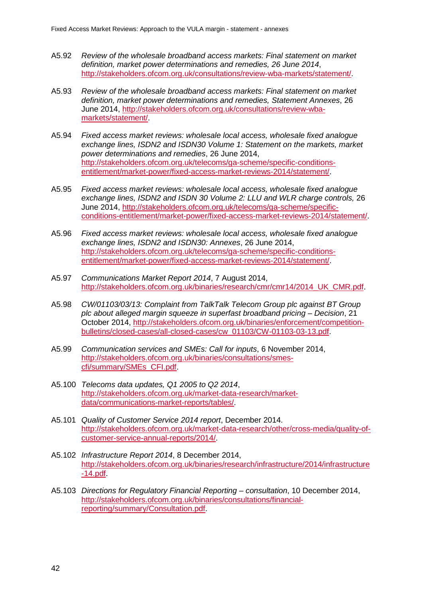- A5.92 *Review of the wholesale broadband access markets: Final statement on market definition, market power determinations and remedies, 26 June 2014*, [http://stakeholders.ofcom.org.uk/consultations/review-wba-markets/statement/.](http://stakeholders.ofcom.org.uk/consultations/review-wba-markets/statement/)
- A5.93 *Review of the wholesale broadband access markets: Final statement on market definition, market power determinations and remedies, Statement Annexes*, 26 June 2014, [http://stakeholders.ofcom.org.uk/consultations/review-wba](http://stakeholders.ofcom.org.uk/consultations/review-wba-markets/statement/)[markets/statement/.](http://stakeholders.ofcom.org.uk/consultations/review-wba-markets/statement/)
- A5.94 *Fixed access market reviews: wholesale local access, wholesale fixed analogue exchange lines, ISDN2 and ISDN30 Volume 1: Statement on the markets, market power determinations and remedies*, 26 June 2014, [http://stakeholders.ofcom.org.uk/telecoms/ga-scheme/specific-conditions](http://stakeholders.ofcom.org.uk/telecoms/ga-scheme/specific-conditions-entitlement/market-power/fixed-access-market-reviews-2014/statement/)[entitlement/market-power/fixed-access-market-reviews-2014/statement/.](http://stakeholders.ofcom.org.uk/telecoms/ga-scheme/specific-conditions-entitlement/market-power/fixed-access-market-reviews-2014/statement/)
- A5.95 *Fixed access market reviews: wholesale local access, wholesale fixed analogue exchange lines, ISDN2 and ISDN 30 Volume 2: LLU and WLR charge controls,* 26 June 2014, [http://stakeholders.ofcom.org.uk/telecoms/ga-scheme/specific](http://stakeholders.ofcom.org.uk/telecoms/ga-scheme/specific-conditions-entitlement/market-power/fixed-access-market-reviews-2014/statement/)[conditions-entitlement/market-power/fixed-access-market-reviews-2014/statement/.](http://stakeholders.ofcom.org.uk/telecoms/ga-scheme/specific-conditions-entitlement/market-power/fixed-access-market-reviews-2014/statement/)
- A5.96 *Fixed access market reviews: wholesale local access, wholesale fixed analogue exchange lines, ISDN2 and ISDN30: Annexes*, 26 June 2014, [http://stakeholders.ofcom.org.uk/telecoms/ga-scheme/specific-conditions](http://stakeholders.ofcom.org.uk/telecoms/ga-scheme/specific-conditions-entitlement/market-power/fixed-access-market-reviews-2014/statement/)[entitlement/market-power/fixed-access-market-reviews-2014/statement/.](http://stakeholders.ofcom.org.uk/telecoms/ga-scheme/specific-conditions-entitlement/market-power/fixed-access-market-reviews-2014/statement/)
- A5.97 *Communications Market Report 2014*, 7 August 2014, [http://stakeholders.ofcom.org.uk/binaries/research/cmr/cmr14/2014\\_UK\\_CMR.pdf.](http://stakeholders.ofcom.org.uk/binaries/research/cmr/cmr14/2014_UK_CMR.pdf)
- A5.98 *CW/01103/03/13: Complaint from TalkTalk Telecom Group plc against BT Group plc about alleged margin squeeze in superfast broadband pricing – Decision*, 21 October 2014, [http://stakeholders.ofcom.org.uk/binaries/enforcement/competition](http://stakeholders.ofcom.org.uk/binaries/enforcement/competition-bulletins/closed-cases/all-closed-cases/cw_01103/CW-01103-03-13.pdf)[bulletins/closed-cases/all-closed-cases/cw\\_01103/CW-01103-03-13.pdf.](http://stakeholders.ofcom.org.uk/binaries/enforcement/competition-bulletins/closed-cases/all-closed-cases/cw_01103/CW-01103-03-13.pdf)
- A5.99 *Communication services and SMEs: Call for inputs*, 6 November 2014, [http://stakeholders.ofcom.org.uk/binaries/consultations/smes](http://stakeholders.ofcom.org.uk/binaries/consultations/smes-cfi/summary/SMEs_CFI.pdf)[cfi/summary/SMEs\\_CFI.pdf.](http://stakeholders.ofcom.org.uk/binaries/consultations/smes-cfi/summary/SMEs_CFI.pdf)
- A5.100 *Telecoms data updates, Q1 2005 to Q2 2014*, [http://stakeholders.ofcom.org.uk/market-data-research/market](http://stakeholders.ofcom.org.uk/market-data-research/market-data/communications-market-reports/tables/)[data/communications-market-reports/tables/.](http://stakeholders.ofcom.org.uk/market-data-research/market-data/communications-market-reports/tables/)
- A5.101 *Quality of Customer Service 2014 report*, December 2014. [http://stakeholders.ofcom.org.uk/market-data-research/other/cross-media/quality-of](http://stakeholders.ofcom.org.uk/market-data-research/other/cross-media/quality-of-customer-service-annual-reports/2014/)[customer-service-annual-reports/2014/.](http://stakeholders.ofcom.org.uk/market-data-research/other/cross-media/quality-of-customer-service-annual-reports/2014/)
- A5.102 *Infrastructure Report 2014*, 8 December 2014, [http://stakeholders.ofcom.org.uk/binaries/research/infrastructure/2014/infrastructure](http://stakeholders.ofcom.org.uk/binaries/research/infrastructure/2014/infrastructure-14.pdf) [-14.pdf.](http://stakeholders.ofcom.org.uk/binaries/research/infrastructure/2014/infrastructure-14.pdf)
- A5.103 *Directions for Regulatory Financial Reporting – consultation*, 10 December 2014, [http://stakeholders.ofcom.org.uk/binaries/consultations/financial](http://stakeholders.ofcom.org.uk/binaries/consultations/financial-reporting/summary/Consultation.pdf)[reporting/summary/Consultation.pdf.](http://stakeholders.ofcom.org.uk/binaries/consultations/financial-reporting/summary/Consultation.pdf)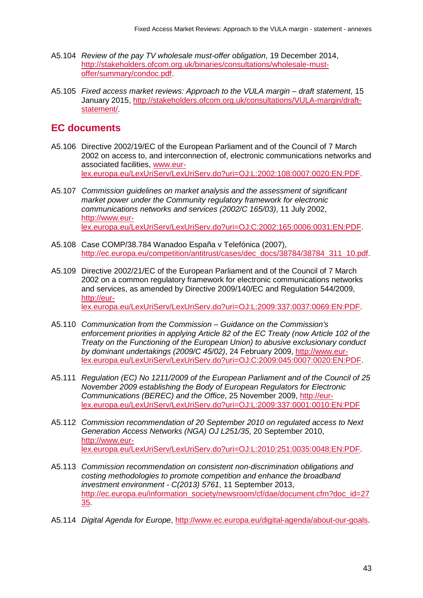- A5.104 *Review of the pay TV wholesale must-offer obligation*, 19 December 2014, [http://stakeholders.ofcom.org.uk/binaries/consultations/wholesale-must](http://stakeholders.ofcom.org.uk/binaries/consultations/wholesale-must-offer/summary/condoc.pdf)[offer/summary/condoc.pdf.](http://stakeholders.ofcom.org.uk/binaries/consultations/wholesale-must-offer/summary/condoc.pdf)
- A5.105 *Fixed access market reviews: Approach to the VULA margin – draft statement,* 15 January 2015, [http://stakeholders.ofcom.org.uk/consultations/VULA-margin/draft](http://stakeholders.ofcom.org.uk/consultations/VULA-margin/draft-statement/)[statement/.](http://stakeholders.ofcom.org.uk/consultations/VULA-margin/draft-statement/)

## **EC documents**

- A5.106 Directive 2002/19/EC of the European Parliament and of the Council of 7 March 2002 on access to, and interconnection of, electronic communications networks and associated facilities, [www.eur](http://www.eur-lex.europa.eu/LexUriServ/LexUriServ.do?uri=OJ:L:2002:108:0007:0020:EN:PDF)[lex.europa.eu/LexUriServ/LexUriServ.do?uri=OJ:L:2002:108:0007:0020:EN:PDF.](http://www.eur-lex.europa.eu/LexUriServ/LexUriServ.do?uri=OJ:L:2002:108:0007:0020:EN:PDF)
- A5.107 *Commission guidelines on market analysis and the assessment of significant market power under the Community regulatory framework for electronic communications networks and services (2002/C 165/03)*, 11 July 2002, [http://www.eur](http://www.eur-lex.europa.eu/LexUriServ/LexUriServ.do?uri=OJ:C:2002:165:0006:0031:EN:PDF)[lex.europa.eu/LexUriServ/LexUriServ.do?uri=OJ:C:2002:165:0006:0031:EN:PDF.](http://www.eur-lex.europa.eu/LexUriServ/LexUriServ.do?uri=OJ:C:2002:165:0006:0031:EN:PDF)
- A5.108 Case COMP/38.784 Wanadoo España v Telefónica (2007), [http://ec.europa.eu/competition/antitrust/cases/dec\\_docs/38784/38784\\_311\\_10.pdf.](http://ec.europa.eu/competition/antitrust/cases/dec_docs/38784/38784_311_10.pdf)
- A5.109 Directive 2002/21/EC of the European Parliament and of the Council of 7 March 2002 on a common regulatory framework for electronic communications networks and services, as amended by Directive 2009/140/EC and Regulation 544/2009, [http://eur](http://eur-lex.europa.eu/LexUriServ/LexUriServ.do?uri=OJ:L:2009:337:0037:0069:EN:PDF)[lex.europa.eu/LexUriServ/LexUriServ.do?uri=OJ:L:2009:337:0037:0069:EN:PDF.](http://eur-lex.europa.eu/LexUriServ/LexUriServ.do?uri=OJ:L:2009:337:0037:0069:EN:PDF)
- A5.110 *Communication from the Commission – Guidance on the Commission's enforcement priorities in applying Article 82 of the EC Treaty (now Article 102 of the Treaty on the Functioning of the European Union) to abusive exclusionary conduct by dominant undertakings (2009/C 45/02)*, 24 February 2009, [http://www.eur](http://www.eur-lex.europa.eu/LexUriServ/LexUriServ.do?uri=OJ:C:2009:045:0007:0020:EN:PDF)[lex.europa.eu/LexUriServ/LexUriServ.do?uri=OJ:C:2009:045:0007:0020:EN:PDF.](http://www.eur-lex.europa.eu/LexUriServ/LexUriServ.do?uri=OJ:C:2009:045:0007:0020:EN:PDF)
- A5.111 *Regulation (EC) No 1211/2009 of the European Parliament and of the Council of 25 November 2009 establishing the Body of European Regulators for Electronic Communications (BEREC) and the Office*, 25 November 2009, [http://eur](http://eur-lex.europa.eu/LexUriServ/LexUriServ.do?uri=OJ:L:2009:337:0001:0010:EN:PDF)[lex.europa.eu/LexUriServ/LexUriServ.do?uri=OJ:L:2009:337:0001:0010:EN:PDF](http://eur-lex.europa.eu/LexUriServ/LexUriServ.do?uri=OJ:L:2009:337:0001:0010:EN:PDF)
- A5.112 *Commission recommendation of 20 September 2010 on regulated access to Next Generation Access Networks (NGA) OJ L251/35*, 20 September 2010, [http://www.eur](http://www.eur-lex.europa.eu/LexUriServ/LexUriServ.do?uri=OJ:L:2010:251:0035:0048:EN:PDF)[lex.europa.eu/LexUriServ/LexUriServ.do?uri=OJ:L:2010:251:0035:0048:EN:PDF.](http://www.eur-lex.europa.eu/LexUriServ/LexUriServ.do?uri=OJ:L:2010:251:0035:0048:EN:PDF)
- A5.113 *Commission recommendation on consistent non-discrimination obligations and costing methodologies to promote competition and enhance the broadband investment environment - C(2013) 5761*, 11 September 2013, [http://ec.europa.eu/information\\_society/newsroom/cf/dae/document.cfm?doc\\_id=27](http://ec.europa.eu/information_society/newsroom/cf/dae/document.cfm?doc_id=2735) [35.](http://ec.europa.eu/information_society/newsroom/cf/dae/document.cfm?doc_id=2735)
- A5.114 *Digital Agenda for Europe*, [http://www.ec.europa.eu/digital-agenda/about-our-goals.](http://www.ec.europa.eu/digital-agenda/about-our-goals)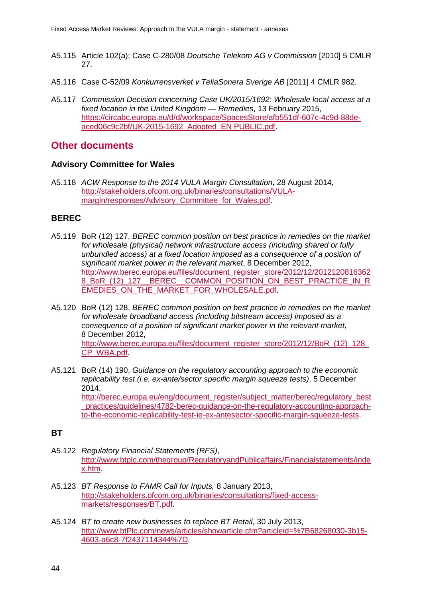- A5.115 Article 102(a); Case C-280/08 *Deutsche Telekom AG v Commission* [2010] 5 CMLR 27.
- A5.116 Case C-52/09 *Konkurrensverket v TeliaSonera Sverige AB* [2011] 4 CMLR 982.
- A5.117 *Commission Decision concerning Case UK/2015/1692: Wholesale local access at a fixed location in the United Kingdom — Remedies*, 13 February 2015, [https://circabc.europa.eu/d/d/workspace/SpacesStore/afb551df-607c-4c9d-88de](https://circabc.europa.eu/d/d/workspace/SpacesStore/afb551df-607c-4c9d-88de-aced06c9c2bf/UK-2015-1692_Adopted_EN%20PUBLIC.pdf)[aced06c9c2bf/UK-2015-1692\\_Adopted\\_EN PUBLIC.pdf.](https://circabc.europa.eu/d/d/workspace/SpacesStore/afb551df-607c-4c9d-88de-aced06c9c2bf/UK-2015-1692_Adopted_EN%20PUBLIC.pdf)

## **Other documents**

#### **Advisory Committee for Wales**

A5.118 *ACW Response to the 2014 VULA Margin Consultation*, 28 August 2014, [http://stakeholders.ofcom.org.uk/binaries/consultations/VULA](http://stakeholders.ofcom.org.uk/binaries/consultations/VULA-margin/responses/Advisory_Committee_for_Wales.pdf)[margin/responses/Advisory\\_Committee\\_for\\_Wales.pdf.](http://stakeholders.ofcom.org.uk/binaries/consultations/VULA-margin/responses/Advisory_Committee_for_Wales.pdf)

#### **BEREC**

- A5.119 BoR (12) 127, *BEREC common position on best practice in remedies on the market for wholesale (physical) network infrastructure access (including shared or fully unbundled access) at a fixed location imposed as a consequence of a position of significant market power in the relevant market*, 8 December 2012, [http://www.berec.europa.eu/files/document\\_register\\_store/2012/12/2012120816362](http://www.berec.europa.eu/files/document_register_store/2012/12/20121208163628_BoR_(12)_127__BEREC__COMMON_POSITION_ON_BEST_PRACTICE_IN_REMEDIES_ON_THE_MARKET_FOR_WHOLESALE.pdf) [8\\_BoR\\_\(12\)\\_127\\_\\_BEREC\\_\\_COMMON\\_POSITION\\_ON\\_BEST\\_PRACTICE\\_IN\\_R](http://www.berec.europa.eu/files/document_register_store/2012/12/20121208163628_BoR_(12)_127__BEREC__COMMON_POSITION_ON_BEST_PRACTICE_IN_REMEDIES_ON_THE_MARKET_FOR_WHOLESALE.pdf) EMEDIES ON THE MARKET FOR WHOLESALE.pdf.
- A5.120 BoR (12) 128, *BEREC common position on best practice in remedies on the market for wholesale broadband access (including bitstream access) imposed as a consequence of a position of significant market power in the relevant market*, 8 December 2012, http://www.berec.europa.eu/files/document\_register\_store/2012/12/BoR\_(12)\_128 [CP\\_WBA.pdf.](http://www.berec.europa.eu/files/document_register_store/2012/12/BoR_(12)_128_CP_WBA.pdf)
- A5.121 BoR (14) 190, *Guidance on the regulatory accounting approach to the economic replicability test (i.e. ex-ante/sector specific margin squeeze tests)*, 5 December 2014, [http://berec.europa.eu/eng/document\\_register/subject\\_matter/berec/regulatory\\_best](http://berec.europa.eu/eng/document_register/subject_matter/berec/regulatory_best_practices/guidelines/4782-berec-guidance-on-the-regulatory-accounting-approach-to-the-economic-replicability-test-ie-ex-antesector-specific-margin-squeeze-tests) practices/guidelines/4782-berec-guidance-on-the-regulatory-accounting-approach[to-the-economic-replicability-test-ie-ex-antesector-specific-margin-squeeze-tests.](http://berec.europa.eu/eng/document_register/subject_matter/berec/regulatory_best_practices/guidelines/4782-berec-guidance-on-the-regulatory-accounting-approach-to-the-economic-replicability-test-ie-ex-antesector-specific-margin-squeeze-tests)

#### **BT**

- A5.122 *Regulatory Financial Statements (RFS)*, [http://www.btplc.com/thegroup/RegulatoryandPublicaffairs/Financialstatements/inde](http://www.btplc.com/thegroup/RegulatoryandPublicaffairs/Financialstatements/index.htm) [x.htm.](http://www.btplc.com/thegroup/RegulatoryandPublicaffairs/Financialstatements/index.htm)
- A5.123 *BT Response to FAMR Call for Inputs,* 8 January 2013, [http://stakeholders.ofcom.org.uk/binaries/consultations/fixed-access](http://stakeholders.ofcom.org.uk/binaries/consultations/fixed-access-markets/responses/BT.pdf)[markets/responses/BT.pdf.](http://stakeholders.ofcom.org.uk/binaries/consultations/fixed-access-markets/responses/BT.pdf)
- A5.124 *BT to create new businesses to replace BT Retail*, 30 July 2013, [http://www.btPlc.com/news/articles/showarticle.cfm?articleid=%7B68268030-3b15-](http://www.btplc.com/news/articles/showarticle.cfm?articleid=%7B68268030-3b15-4603-a6c8-7f2437114344%7D) [4603-a6c8-7f2437114344%7D.](http://www.btplc.com/news/articles/showarticle.cfm?articleid=%7B68268030-3b15-4603-a6c8-7f2437114344%7D)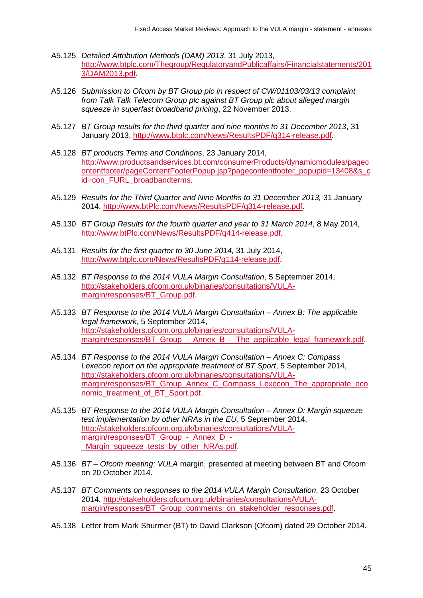- A5.125 *Detailed Attribution Methods (DAM) 2013*, 31 July 2013, [http://www.btplc.com/Thegroup/RegulatoryandPublicaffairs/Financialstatements/201](http://www.btplc.com/Thegroup/RegulatoryandPublicaffairs/Financialstatements/2013/DAM2013.pdf) [3/DAM2013.pdf.](http://www.btplc.com/Thegroup/RegulatoryandPublicaffairs/Financialstatements/2013/DAM2013.pdf)
- A5.126 *Submission to Ofcom by BT Group plc in respect of CW/01103/03/13 complaint from Talk Talk Telecom Group plc against BT Group plc about alleged margin squeeze in superfast broadband pricing*, 22 November 2013.
- A5.127 *BT Group results for the third quarter and nine months to 31 December 2013*, 31 January 2013, [http://www.btplc.com/News/ResultsPDF/q314-release.pdf.](http://www.btplc.com/News/ResultsPDF/q314-release.pdf)
- A5.128 *BT products Terms and Conditions*, 23 January 2014, [http://www.productsandservices.bt.com/consumerProducts/dynamicmodules/pagec](http://www.productsandservices.bt.com/consumerProducts/dynamicmodules/pagecontentfooter/pageContentFooterPopup.jsp?pagecontentfooter_popupid=13408&s_cid=con_FURL_broadbandterms) [ontentfooter/pageContentFooterPopup.jsp?pagecontentfooter\\_popupid=13408&s\\_c](http://www.productsandservices.bt.com/consumerProducts/dynamicmodules/pagecontentfooter/pageContentFooterPopup.jsp?pagecontentfooter_popupid=13408&s_cid=con_FURL_broadbandterms) [id=con\\_FURL\\_broadbandterms.](http://www.productsandservices.bt.com/consumerProducts/dynamicmodules/pagecontentfooter/pageContentFooterPopup.jsp?pagecontentfooter_popupid=13408&s_cid=con_FURL_broadbandterms)
- A5.129 *Results for the Third Quarter and Nine Months to 31 December 2013,* 31 January 2014, [http://www.btPlc.com/News/ResultsPDF/q314-release.pdf.](http://www.btplc.com/News/ResultsPDF/q314-release.pdf)
- A5.130 *BT Group Results for the fourth quarter and year to 31 March 2014*, 8 May 2014, [http://www.btPlc.com/News/ResultsPDF/q414-release.pdf.](http://www.btplc.com/News/ResultsPDF/q414-release.pdf)
- A5.131 *Results for the first quarter to 30 June 2014,* 31 July 2014, [http://www.btplc.com/News/ResultsPDF/q114-release.pdf.](http://www.btplc.com/News/ResultsPDF/q114-release.pdf)
- A5.132 *BT Response to the 2014 VULA Margin Consultation*, 5 September 2014, [http://stakeholders.ofcom.org.uk/binaries/consultations/VULA](http://stakeholders.ofcom.org.uk/binaries/consultations/VULA-margin/responses/BT_Group.pdf)[margin/responses/BT\\_Group.pdf.](http://stakeholders.ofcom.org.uk/binaries/consultations/VULA-margin/responses/BT_Group.pdf)
- A5.133 *BT Response to the 2014 VULA Margin Consultation – Annex B: The applicable legal framework*, 5 September 2014, [http://stakeholders.ofcom.org.uk/binaries/consultations/VULA](http://stakeholders.ofcom.org.uk/binaries/consultations/VULA-margin/responses/BT_Group_-_Annex_B_-_The_applicable_legal_framework.pdf)[margin/responses/BT\\_Group\\_-\\_Annex\\_B\\_-\\_The\\_applicable\\_legal\\_framework.pdf.](http://stakeholders.ofcom.org.uk/binaries/consultations/VULA-margin/responses/BT_Group_-_Annex_B_-_The_applicable_legal_framework.pdf)
- A5.134 *BT Response to the 2014 VULA Margin Consultation – Annex C: Compass Lexecon report on the appropriate treatment of BT Sport*, 5 September 2014, [http://stakeholders.ofcom.org.uk/binaries/consultations/VULA](http://stakeholders.ofcom.org.uk/binaries/consultations/VULA-margin/responses/BT_Group_Annex_C_Compass_Lexecon_The_appropriate_economic_treatment_of_BT_Sport.pdf)[margin/responses/BT\\_Group\\_Annex\\_C\\_Compass\\_Lexecon\\_The\\_appropriate\\_eco](http://stakeholders.ofcom.org.uk/binaries/consultations/VULA-margin/responses/BT_Group_Annex_C_Compass_Lexecon_The_appropriate_economic_treatment_of_BT_Sport.pdf) nomic\_treatment\_of\_BT\_Sport.pdf
- A5.135 *BT Response to the 2014 VULA Margin Consultation – Annex D: Margin squeeze test implementation by other NRAs in the EU,* 5 September 2014, [http://stakeholders.ofcom.org.uk/binaries/consultations/VULA](http://stakeholders.ofcom.org.uk/binaries/consultations/VULA-margin/responses/BT_Group_-_Annex_D_-_Margin_squeeze_tests_by_other_NRAs.pdf)[margin/responses/BT\\_Group\\_-\\_Annex\\_D\\_-](http://stakeholders.ofcom.org.uk/binaries/consultations/VULA-margin/responses/BT_Group_-_Annex_D_-_Margin_squeeze_tests_by_other_NRAs.pdf) Margin squeeze tests by other NRAs.pdf.
- A5.136 *BT – Ofcom meeting: VULA* margin, presented at meeting between BT and Ofcom on 20 October 2014.
- A5.137 *BT Comments on responses to the 2014 VULA Margin Consultation*, 23 October 2014, [http://stakeholders.ofcom.org.uk/binaries/consultations/VULA](http://stakeholders.ofcom.org.uk/binaries/consultations/VULA-margin/responses/BT_Group_comments_on_stakeholder_responses.pdf)[margin/responses/BT\\_Group\\_comments\\_on\\_stakeholder\\_responses.pdf.](http://stakeholders.ofcom.org.uk/binaries/consultations/VULA-margin/responses/BT_Group_comments_on_stakeholder_responses.pdf)
- A5.138 Letter from Mark Shurmer (BT) to David Clarkson (Ofcom) dated 29 October 2014.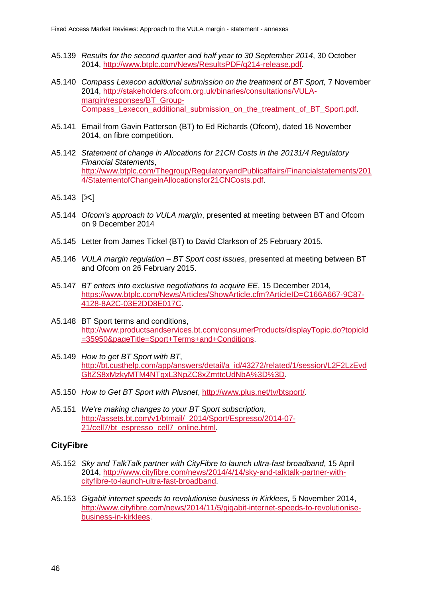- A5.139 *Results for the second quarter and half year to 30 September 2014*, 30 October 2014, [http://www.btplc.com/News/ResultsPDF/q214-release.pdf.](http://www.btplc.com/News/ResultsPDF/q214-release.pdf)
- A5.140 *Compass Lexecon additional submission on the treatment of BT Sport,* 7 November 2014, [http://stakeholders.ofcom.org.uk/binaries/consultations/VULA](http://stakeholders.ofcom.org.uk/binaries/consultations/VULA-margin/responses/BT_Group-Compass_Lexecon_additional_submission_on_the_treatment_of_BT_Sport.pdf)[margin/responses/BT\\_Group-](http://stakeholders.ofcom.org.uk/binaries/consultations/VULA-margin/responses/BT_Group-Compass_Lexecon_additional_submission_on_the_treatment_of_BT_Sport.pdf)[Compass\\_Lexecon\\_additional\\_submission\\_on\\_the\\_treatment\\_of\\_BT\\_Sport.pdf.](http://stakeholders.ofcom.org.uk/binaries/consultations/VULA-margin/responses/BT_Group-Compass_Lexecon_additional_submission_on_the_treatment_of_BT_Sport.pdf)
- A5.141 Email from Gavin Patterson (BT) to Ed Richards (Ofcom), dated 16 November 2014, on fibre competition.
- A5.142 *Statement of change in Allocations for 21CN Costs in the 20131/4 Regulatory Financial Statements*, [http://www.btplc.com/Thegroup/RegulatoryandPublicaffairs/Financialstatements/201](http://www.btplc.com/Thegroup/RegulatoryandPublicaffairs/Financialstatements/2014/StatementofChangeinAllocationsfor21CNCosts.pdf) [4/StatementofChangeinAllocationsfor21CNCosts.pdf.](http://www.btplc.com/Thegroup/RegulatoryandPublicaffairs/Financialstatements/2014/StatementofChangeinAllocationsfor21CNCosts.pdf)
- $A5.143$   $[\times]$
- A5.144 *Ofcom's approach to VULA margin*, presented at meeting between BT and Ofcom on 9 December 2014
- A5.145 Letter from James Tickel (BT) to David Clarkson of 25 February 2015.
- A5.146 *VULA margin regulation – BT Sport cost issues*, presented at meeting between BT and Ofcom on 26 February 2015.
- A5.147 *BT enters into exclusive negotiations to acquire EE*, 15 December 2014, [https://www.btplc.com/News/Articles/ShowArticle.cfm?ArticleID=C166A667-9C87-](https://www.btplc.com/News/Articles/ShowArticle.cfm?ArticleID=C166A667-9C87-4128-8A2C-03E2DD8E017C) [4128-8A2C-03E2DD8E017C.](https://www.btplc.com/News/Articles/ShowArticle.cfm?ArticleID=C166A667-9C87-4128-8A2C-03E2DD8E017C)
- A5.148 BT Sport terms and conditions, [http://www.productsandservices.bt.com/consumerProducts/displayTopic.do?topicId](http://www.productsandservices.bt.com/consumerProducts/displayTopic.do?topicId=35950&pageTitle=Sport+Terms+and+Conditions) [=35950&pageTitle=Sport+Terms+and+Conditions.](http://www.productsandservices.bt.com/consumerProducts/displayTopic.do?topicId=35950&pageTitle=Sport+Terms+and+Conditions)
- A5.149 *How to get BT Sport with BT*, [http://bt.custhelp.com/app/answers/detail/a\\_id/43272/related/1/session/L2F2LzEvd](http://bt.custhelp.com/app/answers/detail/a_id/43272/related/1/session/L2F2LzEvdGltZS8xMzkyMTM4NTgxL3NpZC8xZmttcUdNbA%3D%3D) [GltZS8xMzkyMTM4NTgxL3NpZC8xZmttcUdNbA%3D%3D.](http://bt.custhelp.com/app/answers/detail/a_id/43272/related/1/session/L2F2LzEvdGltZS8xMzkyMTM4NTgxL3NpZC8xZmttcUdNbA%3D%3D)
- A5.150 *How to Get BT Sport with Plusnet*, [http://www.plus.net/tv/btsport/.](http://www.plus.net/tv/btsport/)
- A5.151 *We're making changes to your BT Sport subscription*, [http://assets.bt.com/v1/btmail/\\_2014/Sport/Espresso/2014-07-](http://assets.bt.com/v1/btmail/_2014/Sport/Espresso/2014-07-21/cell7/bt_espresso_cell7_online.html) [21/cell7/bt\\_espresso\\_cell7\\_online.html.](http://assets.bt.com/v1/btmail/_2014/Sport/Espresso/2014-07-21/cell7/bt_espresso_cell7_online.html)

#### **CityFibre**

- A5.152 *Sky and TalkTalk partner with CityFibre to launch ultra-fast broadband*, 15 April 2014, [http://www.cityfibre.com/news/2014/4/14/sky-and-talktalk-partner-with](http://www.cityfibre.com/news/2014/4/14/sky-and-talktalk-partner-with-cityfibre-to-launch-ultra-fast-broadband)[cityfibre-to-launch-ultra-fast-broadband.](http://www.cityfibre.com/news/2014/4/14/sky-and-talktalk-partner-with-cityfibre-to-launch-ultra-fast-broadband)
- A5.153 *Gigabit internet speeds to revolutionise business in Kirklees,* 5 November 2014, [http://www.cityfibre.com/news/2014/11/5/gigabit-internet-speeds-to-revolutionise](http://www.cityfibre.com/news/2014/11/5/gigabit-internet-speeds-to-revolutionise-business-in-kirklees)[business-in-kirklees.](http://www.cityfibre.com/news/2014/11/5/gigabit-internet-speeds-to-revolutionise-business-in-kirklees)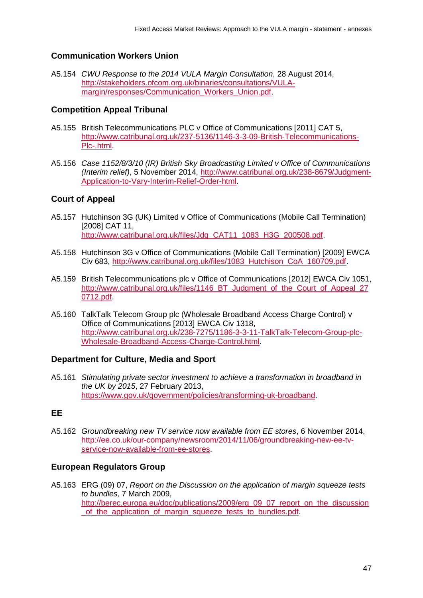#### **Communication Workers Union**

A5.154 *CWU Response to the 2014 VULA Margin Consultation*, 28 August 2014, [http://stakeholders.ofcom.org.uk/binaries/consultations/VULA](http://stakeholders.ofcom.org.uk/binaries/consultations/VULA-margin/responses/Communication_Workers_Union.pdf)margin/responses/Communication\_Workers\_Union.pdf

#### **Competition Appeal Tribunal**

- A5.155 British Telecommunications PLC v Office of Communications [2011] CAT 5, [http://www.catribunal.org.uk/237-5136/1146-3-3-09-British-Telecommunications-](http://www.catribunal.org.uk/237-5136/1146-3-3-09-British-Telecommunications-Plc-.html)[Plc-.html.](http://www.catribunal.org.uk/237-5136/1146-3-3-09-British-Telecommunications-Plc-.html)
- A5.156 *Case 1152/8/3/10 (IR) British Sky Broadcasting Limited v Office of Communications (Interim relief)*, 5 November 2014, [http://www.catribunal.org.uk/238-8679/Judgment-](http://www.catribunal.org.uk/238-8679/Judgment-Application-to-Vary-Interim-Relief-Order-html)[Application-to-Vary-Interim-Relief-Order-html.](http://www.catribunal.org.uk/238-8679/Judgment-Application-to-Vary-Interim-Relief-Order-html)

#### **Court of Appeal**

- A5.157 Hutchinson 3G (UK) Limited v Office of Communications (Mobile Call Termination) [2008] CAT 11, [http://www.catribunal.org.uk/files/Jdg\\_CAT11\\_1083\\_H3G\\_200508.pdf.](http://www.catribunal.org.uk/files/Jdg_CAT11_1083_H3G_200508.pdf)
- A5.158 Hutchinson 3G v Office of Communications (Mobile Call Termination) [2009] EWCA Civ 683, [http://www.catribunal.org.uk/files/1083\\_Hutchison\\_CoA\\_160709.pdf.](http://www.catribunal.org.uk/files/1083_Hutchison_CoA_160709.pdf)
- A5.159 British Telecommunications plc v Office of Communications [2012] EWCA Civ 1051, http://www.catribunal.org.uk/files/1146 BT Judgment of the Court of Appeal 27 [0712.pdf.](http://www.catribunal.org.uk/files/1146_BT_Judgment_of_the_Court_of_Appeal_270712.pdf)
- A5.160 TalkTalk Telecom Group plc (Wholesale Broadband Access Charge Control) v Office of Communications [2013] EWCA Civ 1318, [http://www.catribunal.org.uk/238-7275/1186-3-3-11-TalkTalk-Telecom-Group-plc-](http://www.catribunal.org.uk/238-7275/1186-3-3-11-TalkTalk-Telecom-Group-plc-Wholesale-Broadband-Access-Charge-Control.html)[Wholesale-Broadband-Access-Charge-Control.html.](http://www.catribunal.org.uk/238-7275/1186-3-3-11-TalkTalk-Telecom-Group-plc-Wholesale-Broadband-Access-Charge-Control.html)

#### **Department for Culture, Media and Sport**

A5.161 *Stimulating private sector investment to achieve a transformation in broadband in the UK by 2015*, 27 February 2013, [https://www.gov.uk/government/policies/transforming-uk-broadband.](https://www.gov.uk/government/policies/transforming-uk-broadband)

#### **EE**

A5.162 *Groundbreaking new TV service now available from EE stores*, 6 November 2014, [http://ee.co.uk/our-company/newsroom/2014/11/06/groundbreaking-new-ee-tv](http://ee.co.uk/our-company/newsroom/2014/11/06/groundbreaking-new-ee-tv-service-now-available-from-ee-stores)[service-now-available-from-ee-stores.](http://ee.co.uk/our-company/newsroom/2014/11/06/groundbreaking-new-ee-tv-service-now-available-from-ee-stores)

#### **European Regulators Group**

A5.163 ERG (09) 07, *Report on the Discussion on the application of margin squeeze tests to bundles,* 7 March 2009, [http://berec.europa.eu/doc/publications/2009/erg\\_09\\_07\\_report\\_on\\_the\\_discussion](http://berec.europa.eu/doc/publications/2009/erg_09_07_report_on_the_discussion_of_the_application_of_margin_squeeze_tests_to_bundles.pdf) of the application of margin squeeze tests to bundles.pdf.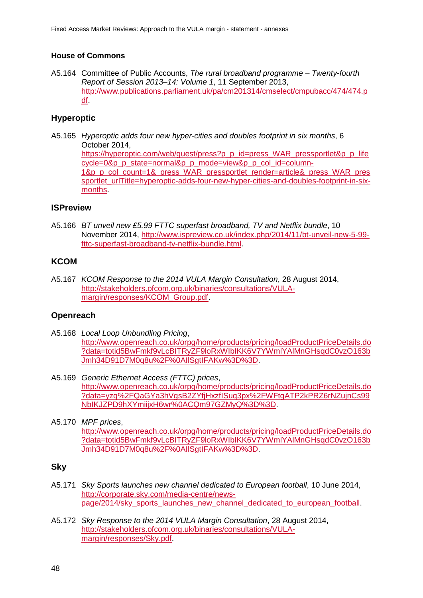#### **House of Commons**

A5.164 Committee of Public Accounts, *The rural broadband programme – Twenty-fourth Report of Session 2013–14: Volume 1*, 11 September 2013, [http://www.publications.parliament.uk/pa/cm201314/cmselect/cmpubacc/474/474.p](http://www.publications.parliament.uk/pa/cm201314/cmselect/cmpubacc/474/474.pdf) [df.](http://www.publications.parliament.uk/pa/cm201314/cmselect/cmpubacc/474/474.pdf)

## **Hyperoptic**

A5.165 *Hyperoptic adds four new hyper-cities and doubles footprint in six months*, 6 October 2014, https://hyperoptic.com/web/quest/press?p\_p\_id=press\_WAR\_pressportlet&p\_p\_life [cycle=0&p\\_p\\_state=normal&p\\_p\\_mode=view&p\\_p\\_col\\_id=column-](https://hyperoptic.com/web/guest/press?p_p_id=press_WAR_pressportlet&p_p_lifecycle=0&p_p_state=normal&p_p_mode=view&p_p_col_id=column-1&p_p_col_count=1&_press_WAR_pressportlet_render=article&_press_WAR_pressportlet_urlTitle=hyperoptic-adds-four-new-hyper-cities-and-doubles-footprint-in-six-months)[1&p\\_p\\_col\\_count=1&\\_press\\_WAR\\_pressportlet\\_render=article&\\_press\\_WAR\\_pres](https://hyperoptic.com/web/guest/press?p_p_id=press_WAR_pressportlet&p_p_lifecycle=0&p_p_state=normal&p_p_mode=view&p_p_col_id=column-1&p_p_col_count=1&_press_WAR_pressportlet_render=article&_press_WAR_pressportlet_urlTitle=hyperoptic-adds-four-new-hyper-cities-and-doubles-footprint-in-six-months) [sportlet\\_urlTitle=hyperoptic-adds-four-new-hyper-cities-and-doubles-footprint-in-six](https://hyperoptic.com/web/guest/press?p_p_id=press_WAR_pressportlet&p_p_lifecycle=0&p_p_state=normal&p_p_mode=view&p_p_col_id=column-1&p_p_col_count=1&_press_WAR_pressportlet_render=article&_press_WAR_pressportlet_urlTitle=hyperoptic-adds-four-new-hyper-cities-and-doubles-footprint-in-six-months)[months.](https://hyperoptic.com/web/guest/press?p_p_id=press_WAR_pressportlet&p_p_lifecycle=0&p_p_state=normal&p_p_mode=view&p_p_col_id=column-1&p_p_col_count=1&_press_WAR_pressportlet_render=article&_press_WAR_pressportlet_urlTitle=hyperoptic-adds-four-new-hyper-cities-and-doubles-footprint-in-six-months)

### **ISPreview**

A5.166 *BT unveil new £5.99 FTTC superfast broadband, TV and Netflix bundle*, 10 November 2014, [http://www.ispreview.co.uk/index.php/2014/11/bt-unveil-new-5-99](http://www.ispreview.co.uk/index.php/2014/11/bt-unveil-new-5-99-fttc-superfast-broadband-tv-netflix-bundle.html) [fttc-superfast-broadband-tv-netflix-bundle.html.](http://www.ispreview.co.uk/index.php/2014/11/bt-unveil-new-5-99-fttc-superfast-broadband-tv-netflix-bundle.html)

#### **KCOM**

A5.167 *KCOM Response to the 2014 VULA Margin Consultation*, 28 August 2014, [http://stakeholders.ofcom.org.uk/binaries/consultations/VULA](http://stakeholders.ofcom.org.uk/binaries/consultations/VULA-margin/responses/KCOM_Group.pdf)[margin/responses/KCOM\\_Group.pdf.](http://stakeholders.ofcom.org.uk/binaries/consultations/VULA-margin/responses/KCOM_Group.pdf)

#### **Openreach**

- A5.168 *Local Loop Unbundling Pricing*, [http://www.openreach.co.uk/orpg/home/products/pricing/loadProductPriceDetails.do](http://www.openreach.co.uk/orpg/home/products/pricing/loadProductPriceDetails.do?data=totid5BwFmkf9vLcBITRyZF9loRxWIbIKK6V7YWmlYAlMnGHsqdC0vzO163bJmh34D91D7M0q8u%2F%0AIlSgtIFAKw%3D%3D) [?data=totid5BwFmkf9vLcBITRyZF9loRxWIbIKK6V7YWmlYAlMnGHsqdC0vzO163b](http://www.openreach.co.uk/orpg/home/products/pricing/loadProductPriceDetails.do?data=totid5BwFmkf9vLcBITRyZF9loRxWIbIKK6V7YWmlYAlMnGHsqdC0vzO163bJmh34D91D7M0q8u%2F%0AIlSgtIFAKw%3D%3D) [Jmh34D91D7M0q8u%2F%0AIlSgtIFAKw%3D%3D.](http://www.openreach.co.uk/orpg/home/products/pricing/loadProductPriceDetails.do?data=totid5BwFmkf9vLcBITRyZF9loRxWIbIKK6V7YWmlYAlMnGHsqdC0vzO163bJmh34D91D7M0q8u%2F%0AIlSgtIFAKw%3D%3D)
- A5.169 *Generic Ethernet Access (FTTC) prices*, [http://www.openreach.co.uk/orpg/home/products/pricing/loadProductPriceDetails.do](http://www.openreach.co.uk/orpg/home/products/pricing/loadProductPriceDetails.do?data=yzq%2FQaGYa3hVgsB2ZYfjHxzfISuq3px%2FWFtgATP2kPRZ6rNZujnCs99NbIKJZPD9hXYmiijxH6wr%0ACQm97GZMyQ%3D%3D) [?data=yzq%2FQaGYa3hVgsB2ZYfjHxzfISuq3px%2FWFtgATP2kPRZ6rNZujnCs99](http://www.openreach.co.uk/orpg/home/products/pricing/loadProductPriceDetails.do?data=yzq%2FQaGYa3hVgsB2ZYfjHxzfISuq3px%2FWFtgATP2kPRZ6rNZujnCs99NbIKJZPD9hXYmiijxH6wr%0ACQm97GZMyQ%3D%3D) [NbIKJZPD9hXYmiijxH6wr%0ACQm97GZMyQ%3D%3D.](http://www.openreach.co.uk/orpg/home/products/pricing/loadProductPriceDetails.do?data=yzq%2FQaGYa3hVgsB2ZYfjHxzfISuq3px%2FWFtgATP2kPRZ6rNZujnCs99NbIKJZPD9hXYmiijxH6wr%0ACQm97GZMyQ%3D%3D)
- A5.170 *MPF prices*, [http://www.openreach.co.uk/orpg/home/products/pricing/loadProductPriceDetails.do](http://www.openreach.co.uk/orpg/home/products/pricing/loadProductPriceDetails.do?data=totid5BwFmkf9vLcBITRyZF9loRxWIbIKK6V7YWmlYAlMnGHsqdC0vzO163bJmh34D91D7M0q8u%2F%0AIlSgtIFAKw%3D%3D) [?data=totid5BwFmkf9vLcBITRyZF9loRxWIbIKK6V7YWmlYAlMnGHsqdC0vzO163b](http://www.openreach.co.uk/orpg/home/products/pricing/loadProductPriceDetails.do?data=totid5BwFmkf9vLcBITRyZF9loRxWIbIKK6V7YWmlYAlMnGHsqdC0vzO163bJmh34D91D7M0q8u%2F%0AIlSgtIFAKw%3D%3D) [Jmh34D91D7M0q8u%2F%0AIlSgtIFAKw%3D%3D.](http://www.openreach.co.uk/orpg/home/products/pricing/loadProductPriceDetails.do?data=totid5BwFmkf9vLcBITRyZF9loRxWIbIKK6V7YWmlYAlMnGHsqdC0vzO163bJmh34D91D7M0q8u%2F%0AIlSgtIFAKw%3D%3D)

#### **Sky**

- A5.171 *Sky Sports launches new channel dedicated to European football*, 10 June 2014, [http://corporate.sky.com/media-centre/news](http://corporate.sky.com/media-centre/news-page/2014/sky_sports_launches_new_channel_dedicated_to_european_football)[page/2014/sky\\_sports\\_launches\\_new\\_channel\\_dedicated\\_to\\_european\\_football.](http://corporate.sky.com/media-centre/news-page/2014/sky_sports_launches_new_channel_dedicated_to_european_football)
- A5.172 *Sky Response to the 2014 VULA Margin Consultation*, 28 August 2014, [http://stakeholders.ofcom.org.uk/binaries/consultations/VULA](http://stakeholders.ofcom.org.uk/binaries/consultations/VULA-margin/responses/Sky.pdf)[margin/responses/Sky.pdf.](http://stakeholders.ofcom.org.uk/binaries/consultations/VULA-margin/responses/Sky.pdf)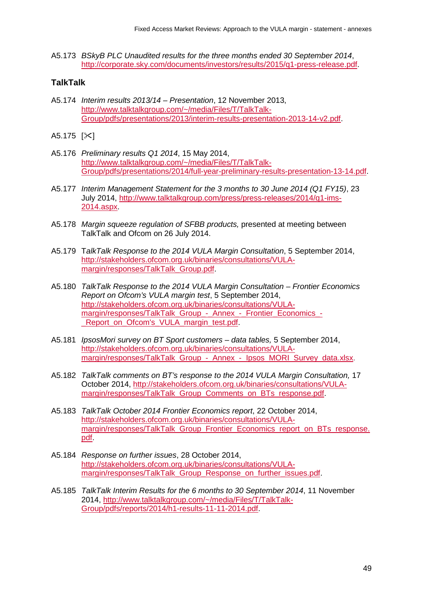A5.173 *BSkyB PLC Unaudited results for the three months ended 30 September 2014*, [http://corporate.sky.com/documents/investors/results/2015/q1-press-release.pdf.](http://corporate.sky.com/documents/investors/results/2015/q1-press-release.pdf)

## **TalkTalk**

- A5.174 *Interim results 2013/14 – Presentation*, 12 November 2013, [http://www.talktalkgroup.com/~/media/Files/T/TalkTalk-](http://www.talktalkgroup.com/%7E/media/Files/T/TalkTalk-Group/pdfs/presentations/2013/interim-results-presentation-2013-14-v2.pdf)[Group/pdfs/presentations/2013/interim-results-presentation-2013-14-v2.pdf.](http://www.talktalkgroup.com/%7E/media/Files/T/TalkTalk-Group/pdfs/presentations/2013/interim-results-presentation-2013-14-v2.pdf)
- $A5.175$   $[\times]$
- A5.176 *Preliminary results Q1 2014*, 15 May 2014, [http://www.talktalkgroup.com/~/media/Files/T/TalkTalk-](http://www.talktalkgroup.com/%7E/media/Files/T/TalkTalk-Group/pdfs/presentations/2014/full-year-preliminary-results-presentation-13-14.pdf)[Group/pdfs/presentations/2014/full-year-preliminary-results-presentation-13-14.pdf.](http://www.talktalkgroup.com/%7E/media/Files/T/TalkTalk-Group/pdfs/presentations/2014/full-year-preliminary-results-presentation-13-14.pdf)
- A5.177 *Interim Management Statement for the 3 months to 30 June 2014 (Q1 FY15)*, 23 July 2014, [http://www.talktalkgroup.com/press/press-releases/2014/q1-ims-](http://www.talktalkgroup.com/press/press-releases/2014/q1-ims-2014.aspx)[2014.aspx.](http://www.talktalkgroup.com/press/press-releases/2014/q1-ims-2014.aspx)
- A5.178 *Margin squeeze regulation of SFBB products,* presented at meeting between TalkTalk and Ofcom on 26 July 2014.
- A5.179 T*alkTalk Response to the 2014 VULA Margin Consultation*, 5 September 2014, [http://stakeholders.ofcom.org.uk/binaries/consultations/VULA](http://stakeholders.ofcom.org.uk/binaries/consultations/VULA-margin/responses/TalkTalk_Group.pdf)[margin/responses/TalkTalk\\_Group.pdf.](http://stakeholders.ofcom.org.uk/binaries/consultations/VULA-margin/responses/TalkTalk_Group.pdf)
- A5.180 *TalkTalk Response to the 2014 VULA Margin Consultation – Frontier Economics Report on Ofcom's VULA margin test*, 5 September 2014, [http://stakeholders.ofcom.org.uk/binaries/consultations/VULA](http://stakeholders.ofcom.org.uk/binaries/consultations/VULA-margin/responses/TalkTalk_Group_-_Annex_-_Frontier_Economics_-_Report_on_Ofcom)[margin/responses/TalkTalk\\_Group\\_-\\_Annex\\_-\\_Frontier\\_Economics\\_-](http://stakeholders.ofcom.org.uk/binaries/consultations/VULA-margin/responses/TalkTalk_Group_-_Annex_-_Frontier_Economics_-_Report_on_Ofcom) Report\_on\_Ofcom's\_VULA\_margin\_test.pdf.
- A5.181 *IpsosMori survey on BT Sport customers – data tables,* 5 September 2014, [http://stakeholders.ofcom.org.uk/binaries/consultations/VULA](http://stakeholders.ofcom.org.uk/binaries/consultations/VULA-margin/responses/TalkTalk_Group_-_Annex_-_Ipsos_MORI_Survey_data.xlsx)margin/responses/TalkTalk Group - Annex - Ipsos MORI Survey data.xlsx.
- A5.182 *TalkTalk comments on BT's response to the 2014 VULA Margin Consultation,* 17 October 2014, [http://stakeholders.ofcom.org.uk/binaries/consultations/VULA](http://stakeholders.ofcom.org.uk/binaries/consultations/VULA-margin/responses/TalkTalk_Group_Comments_on_BTs_response.pdf)margin/responses/TalkTalk Group Comments on BTs response.pdf.
- A5.183 *TalkTalk October 2014 Frontier Economics report*, 22 October 2014, [http://stakeholders.ofcom.org.uk/binaries/consultations/VULA](http://stakeholders.ofcom.org.uk/binaries/consultations/VULA-margin/responses/TalkTalk_Group_Frontier_Economics_report_on_BTs_response.pdf)[margin/responses/TalkTalk\\_Group\\_Frontier\\_Economics\\_report\\_on\\_BTs\\_response.](http://stakeholders.ofcom.org.uk/binaries/consultations/VULA-margin/responses/TalkTalk_Group_Frontier_Economics_report_on_BTs_response.pdf) [pdf.](http://stakeholders.ofcom.org.uk/binaries/consultations/VULA-margin/responses/TalkTalk_Group_Frontier_Economics_report_on_BTs_response.pdf)
- A5.184 *Response on further issues*, 28 October 2014, [http://stakeholders.ofcom.org.uk/binaries/consultations/VULA](http://stakeholders.ofcom.org.uk/binaries/consultations/VULA-margin/responses/TalkTalk_Group_Response_on_further_issues.pdf)[margin/responses/TalkTalk\\_Group\\_Response\\_on\\_further\\_issues.pdf.](http://stakeholders.ofcom.org.uk/binaries/consultations/VULA-margin/responses/TalkTalk_Group_Response_on_further_issues.pdf)
- A5.185 *TalkTalk Interim Results for the 6 months to 30 September 2014*, 11 November 2014, [http://www.talktalkgroup.com/~/media/Files/T/TalkTalk-](http://www.talktalkgroup.com/%7E/media/Files/T/TalkTalk-Group/pdfs/reports/2014/h1-results-11-11-2014.pdf)[Group/pdfs/reports/2014/h1-results-11-11-2014.pdf.](http://www.talktalkgroup.com/%7E/media/Files/T/TalkTalk-Group/pdfs/reports/2014/h1-results-11-11-2014.pdf)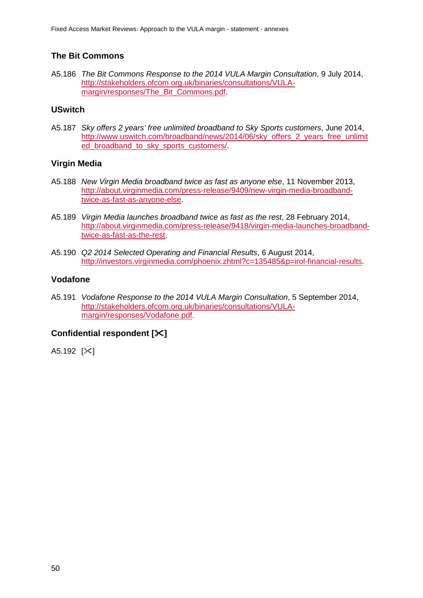## **The Bit Commons**

A5.186 *The Bit Commons Response to the 2014 VULA Margin Consultation*, 9 July 2014, [http://stakeholders.ofcom.org.uk/binaries/consultations/VULA](http://stakeholders.ofcom.org.uk/binaries/consultations/VULA-margin/responses/The_Bit_Commons.pdf)[margin/responses/The\\_Bit\\_Commons.pdf.](http://stakeholders.ofcom.org.uk/binaries/consultations/VULA-margin/responses/The_Bit_Commons.pdf)

#### **USwitch**

A5.187 *Sky offers 2 years' free unlimited broadband to Sky Sports customers*, June 2014, [http://www.uswitch.com/broadband/news/2014/06/sky\\_offers\\_2\\_years\\_free\\_unlimit](http://www.uswitch.com/broadband/news/2014/06/sky_offers_2_years_free_unlimited_broadband_to_sky_sports_customers/) [ed\\_broadband\\_to\\_sky\\_sports\\_customers/.](http://www.uswitch.com/broadband/news/2014/06/sky_offers_2_years_free_unlimited_broadband_to_sky_sports_customers/)

#### **Virgin Media**

- A5.188 *New Virgin Media broadband twice as fast as anyone else*, 11 November 2013, [http://about.virginmedia.com/press-release/9409/new-virgin-media-broadband](http://about.virginmedia.com/press-release/9409/new-virgin-media-broadband-twice-as-fast-as-anyone-else)[twice-as-fast-as-anyone-else.](http://about.virginmedia.com/press-release/9409/new-virgin-media-broadband-twice-as-fast-as-anyone-else)
- A5.189 *Virgin Media launches broadband twice as fast as the rest*, 28 February 2014, [http://about.virginmedia.com/press-release/9418/virgin-media-launches-broadband](http://about.virginmedia.com/press-release/9418/virgin-media-launches-broadband-twice-as-fast-as-the-rest)[twice-as-fast-as-the-rest.](http://about.virginmedia.com/press-release/9418/virgin-media-launches-broadband-twice-as-fast-as-the-rest)
- A5.190 *Q2 2014 Selected Operating and Financial Results*, 6 August 2014, [http://investors.virginmedia.com/phoenix.zhtml?c=135485&p=irol-financial-results.](http://investors.virginmedia.com/phoenix.zhtml?c=135485&p=irol-financial-results)

### **Vodafone**

A5.191 *Vodafone Response to the 2014 VULA Margin Consultation*, 5 September 2014, [http://stakeholders.ofcom.org.uk/binaries/consultations/VULA](http://stakeholders.ofcom.org.uk/binaries/consultations/VULA-margin/responses/Vodafone.pdf)[margin/responses/Vodafone.pdf.](http://stakeholders.ofcom.org.uk/binaries/consultations/VULA-margin/responses/Vodafone.pdf)

## **Confidential respondent []**

A5.192  $[\times]$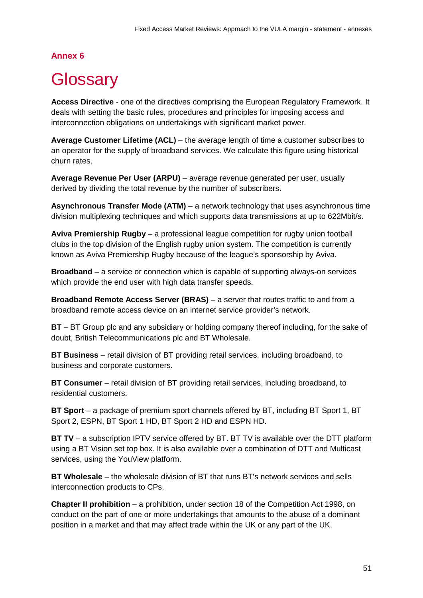## **Annex 6**

# <span id="page-52-0"></span>**Glossary**

**Access Directive** - one of the directives comprising the European Regulatory Framework. It deals with setting the basic rules, procedures and principles for imposing access and interconnection obligations on undertakings with significant market power.

**Average Customer Lifetime (ACL)** – the average length of time a customer subscribes to an operator for the supply of broadband services. We calculate this figure using historical churn rates.

**Average Revenue Per User (ARPU)** – average revenue generated per user, usually derived by dividing the total revenue by the number of subscribers.

**Asynchronous Transfer Mode (ATM)** – a network technology that uses asynchronous time division multiplexing techniques and which supports data transmissions at up to 622Mbit/s.

**Aviva Premiership Rugby** – a professional league competition for rugby union football clubs in the top division of the English rugby union system. The competition is currently known as Aviva Premiership Rugby because of the league's sponsorship by Aviva.

**Broadband** – a service or connection which is capable of supporting always-on services which provide the end user with high data transfer speeds.

**Broadband Remote Access Server (BRAS)** – a server that routes traffic to and from a broadband remote access device on an internet service provider's network.

**BT** – BT Group plc and any subsidiary or holding company thereof including, for the sake of doubt, British Telecommunications plc and BT Wholesale.

**BT Business** – retail division of BT providing retail services, including broadband, to business and corporate customers.

**BT Consumer** – retail division of BT providing retail services, including broadband, to residential customers.

**BT Sport** – a package of premium sport channels offered by BT, including BT Sport 1, BT Sport 2, ESPN, BT Sport 1 HD, BT Sport 2 HD and ESPN HD.

**BT TV** – a subscription IPTV service offered by BT. BT TV is available over the DTT platform using a BT Vision set top box. It is also available over a combination of DTT and Multicast services, using the YouView platform.

**BT Wholesale** – the wholesale division of BT that runs BT's network services and sells interconnection products to CPs.

**Chapter II prohibition** – a prohibition, under section 18 of the Competition Act 1998, on conduct on the part of one or more undertakings that amounts to the abuse of a dominant position in a market and that may affect trade within the UK or any part of the UK.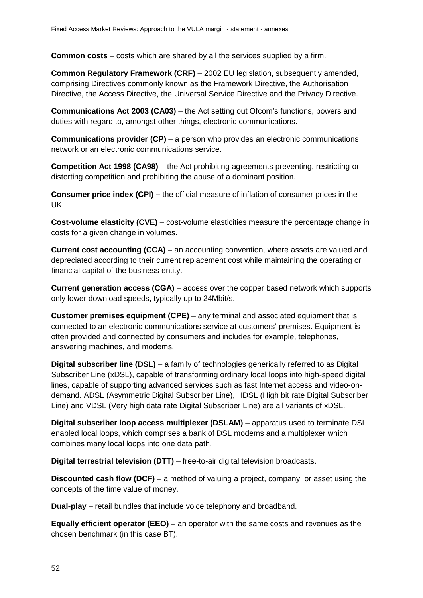**Common costs** – costs which are shared by all the services supplied by a firm.

**Common Regulatory Framework (CRF)** – 2002 EU legislation, subsequently amended, comprising Directives commonly known as the Framework Directive, the Authorisation Directive, the Access Directive, the Universal Service Directive and the Privacy Directive.

**Communications Act 2003 (CA03)** – the Act setting out Ofcom's functions, powers and duties with regard to, amongst other things, electronic communications.

**Communications provider (CP)** – a person who provides an electronic communications network or an electronic communications service.

**Competition Act 1998 (CA98)** – the Act prohibiting agreements preventing, restricting or distorting competition and prohibiting the abuse of a dominant position.

**Consumer price index (CPI) –** the official measure of inflation of consumer prices in the UK.

**Cost-volume elasticity (CVE)** – cost-volume elasticities measure the percentage change in costs for a given change in volumes.

**Current cost accounting (CCA)** – an accounting convention, where assets are valued and depreciated according to their current replacement cost while maintaining the operating or financial capital of the business entity.

**Current generation access (CGA)** – access over the copper based network which supports only lower download speeds, typically up to 24Mbit/s.

**Customer premises equipment (CPE)** – any terminal and associated equipment that is connected to an electronic communications service at customers' premises. Equipment is often provided and connected by consumers and includes for example, telephones, answering machines, and modems.

**Digital subscriber line (DSL)** – a family of technologies generically referred to as Digital Subscriber Line (xDSL), capable of transforming ordinary local loops into high-speed digital lines, capable of supporting advanced services such as fast Internet access and video-ondemand. ADSL (Asymmetric Digital Subscriber Line), HDSL (High bit rate Digital Subscriber Line) and VDSL (Very high data rate Digital Subscriber Line) are all variants of xDSL.

**Digital subscriber loop access multiplexer (DSLAM)** – apparatus used to terminate DSL enabled local loops, which comprises a bank of DSL modems and a multiplexer which combines many local loops into one data path.

**Digital terrestrial television (DTT)** – free-to-air digital television broadcasts.

**Discounted cash flow (DCF)** – a method of valuing a project, company, or asset using the concepts of the time value of money.

**Dual-play** – retail bundles that include voice telephony and broadband.

**Equally efficient operator (EEO)** – an operator with the same costs and revenues as the chosen benchmark (in this case BT).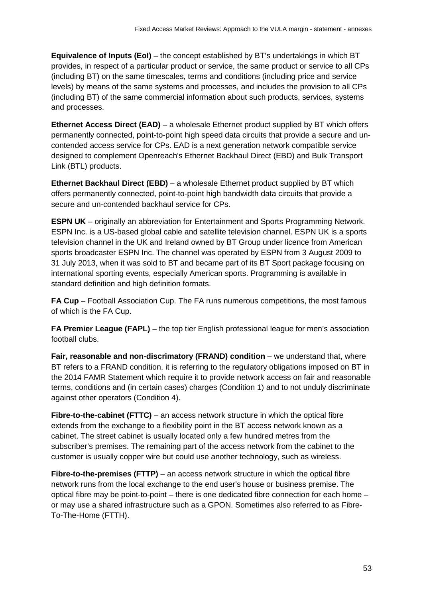**Equivalence of Inputs (EoI)** – the concept established by BT's undertakings in which BT provides, in respect of a particular product or service, the same product or service to all CPs (including BT) on the same timescales, terms and conditions (including price and service levels) by means of the same systems and processes, and includes the provision to all CPs (including BT) of the same commercial information about such products, services, systems and processes.

**Ethernet Access Direct (EAD)** – a wholesale Ethernet product supplied by BT which offers permanently connected, point-to-point high speed data circuits that provide a secure and uncontended access service for CPs. EAD is a next generation network compatible service designed to complement Openreach's Ethernet Backhaul Direct (EBD) and Bulk Transport Link (BTL) products.

**Ethernet Backhaul Direct (EBD)** – a wholesale Ethernet product supplied by BT which offers permanently connected, point-to-point high bandwidth data circuits that provide a secure and un-contended backhaul service for CPs.

**ESPN UK** – originally an abbreviation for Entertainment and Sports Programming Network. ESPN Inc. is a US-based global cable and satellite television channel. ESPN UK is a sports television channel in the UK and Ireland owned by BT Group under licence from American sports broadcaster ESPN Inc. The channel was operated by ESPN from 3 August 2009 to 31 July 2013, when it was sold to BT and became part of its BT Sport package focusing on international sporting events, especially American sports. Programming is available in standard definition and high definition formats.

**FA Cup** – Football Association Cup. The FA runs numerous competitions, the most famous of which is the FA Cup.

**FA Premier League (FAPL)** – the top tier English professional league for men's association football clubs.

**Fair, reasonable and non-discrimatory (FRAND) condition** – we understand that, where BT refers to a FRAND condition, it is referring to the regulatory obligations imposed on BT in the 2014 FAMR Statement which require it to provide network access on fair and reasonable terms, conditions and (in certain cases) charges (Condition 1) and to not unduly discriminate against other operators (Condition 4).

**Fibre-to-the-cabinet (FTTC)** – an access network structure in which the optical fibre extends from the exchange to a flexibility point in the BT access network known as a cabinet. The street cabinet is usually located only a few hundred metres from the subscriber's premises. The remaining part of the access network from the cabinet to the customer is usually copper wire but could use another technology, such as wireless.

**Fibre-to-the-premises (FTTP)** – an access network structure in which the optical fibre network runs from the local exchange to the end user's house or business premise. The optical fibre may be point-to-point – there is one dedicated fibre connection for each home – or may use a shared infrastructure such as a GPON. Sometimes also referred to as Fibre-To-The-Home (FTTH).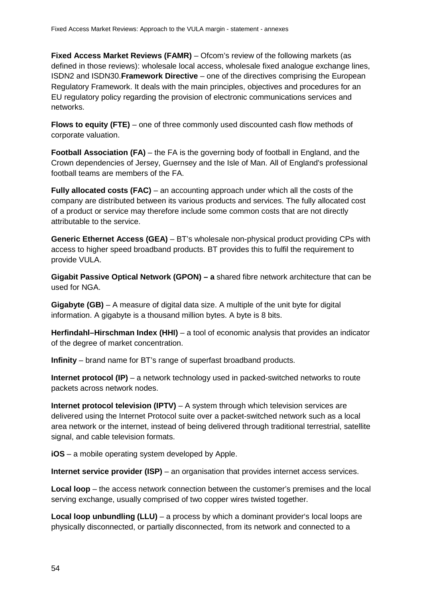**Fixed Access Market Reviews (FAMR)** – Ofcom's review of the following markets (as defined in those reviews): wholesale local access, wholesale fixed analogue exchange lines, ISDN2 and ISDN30.**Framework Directive** – one of the directives comprising the European Regulatory Framework. It deals with the main principles, objectives and procedures for an EU regulatory policy regarding the provision of electronic communications services and networks.

**Flows to equity (FTE)** – one of three commonly used discounted cash flow methods of corporate valuation.

**Football Association (FA)** – the FA is the governing body of football in England, and the Crown dependencies of Jersey, Guernsey and the Isle of Man. All of England's professional football teams are members of the FA.

**Fully allocated costs (FAC)** – an accounting approach under which all the costs of the company are distributed between its various products and services. The fully allocated cost of a product or service may therefore include some common costs that are not directly attributable to the service.

**Generic Ethernet Access (GEA)** – BT's wholesale non-physical product providing CPs with access to higher speed broadband products. BT provides this to fulfil the requirement to provide VULA.

**Gigabit Passive Optical Network (GPON) – a** shared fibre network architecture that can be used for NGA.

**Gigabyte (GB)** – A measure of digital data size. A multiple of the unit byte for digital information. A gigabyte is a thousand million bytes. A byte is 8 bits.

**Herfindahl–Hirschman Index (HHI)** – a tool of economic analysis that provides an indicator of the degree of market concentration.

**Infinity** – brand name for BT's range of superfast broadband products.

**Internet protocol (IP)** – a network technology used in packed-switched networks to route packets across network nodes.

**Internet protocol television (IPTV)** – A system through which television services are delivered using the Internet Protocol suite over a packet-switched network such as a local area network or the internet, instead of being delivered through traditional terrestrial, satellite signal, and cable television formats.

**iOS** – a mobile operating system developed by Apple.

**Internet service provider (ISP)** – an organisation that provides internet access services.

**Local loop** – the access network connection between the customer's premises and the local serving exchange, usually comprised of two copper wires twisted together.

**Local loop unbundling (LLU)** – a process by which a dominant provider's local loops are physically disconnected, or partially disconnected, from its network and connected to a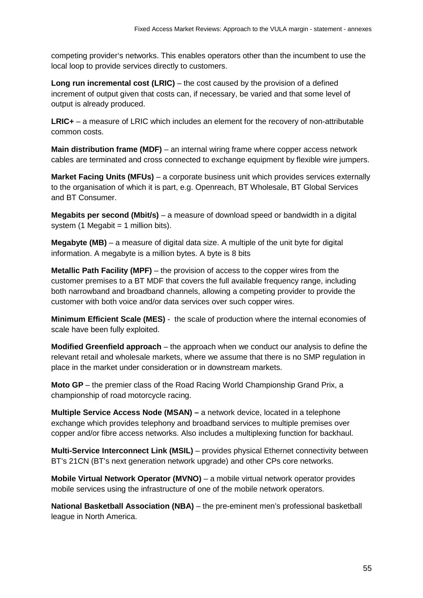competing provider's networks. This enables operators other than the incumbent to use the local loop to provide services directly to customers.

**Long run incremental cost (LRIC)** – the cost caused by the provision of a defined increment of output given that costs can, if necessary, be varied and that some level of output is already produced.

**LRIC+** – a measure of LRIC which includes an element for the recovery of non-attributable common costs.

**Main distribution frame (MDF)** – an internal wiring frame where copper access network cables are terminated and cross connected to exchange equipment by flexible wire jumpers.

**Market Facing Units (MFUs)** – a corporate business unit which provides services externally to the organisation of which it is part, e.g. Openreach, BT Wholesale, BT Global Services and BT Consumer.

**Megabits per second (Mbit/s)** – a measure of download speed or bandwidth in a digital system (1 Megabit = 1 million bits).

**Megabyte (MB)** – a measure of digital data size. A multiple of the unit byte for digital information. A megabyte is a million bytes. A byte is 8 bits

**Metallic Path Facility (MPF)** – the provision of access to the copper wires from the customer premises to a BT MDF that covers the full available frequency range, including both narrowband and broadband channels, allowing a competing provider to provide the customer with both voice and/or data services over such copper wires.

**Minimum Efficient Scale (MES)** - the scale of production where the internal economies of scale have been fully exploited.

**Modified Greenfield approach** – the approach when we conduct our analysis to define the relevant retail and wholesale markets, where we assume that there is no SMP regulation in place in the market under consideration or in downstream markets.

**Moto GP** – the premier class of the Road Racing World Championship Grand Prix, a championship of road motorcycle racing.

**Multiple Service Access Node (MSAN) –** a network device, located in a telephone exchange which provides telephony and broadband services to multiple premises over copper and/or fibre access networks. Also includes a multiplexing function for backhaul.

**Multi-Service Interconnect Link (MSIL)** – provides physical Ethernet connectivity between BT's 21CN (BT's next generation network upgrade) and other CPs core networks.

**Mobile Virtual Network Operator (MVNO)** – a mobile virtual network operator provides mobile services using the infrastructure of one of the mobile network operators.

**National Basketball Association (NBA)** – the pre-eminent men's professional basketball league in North America.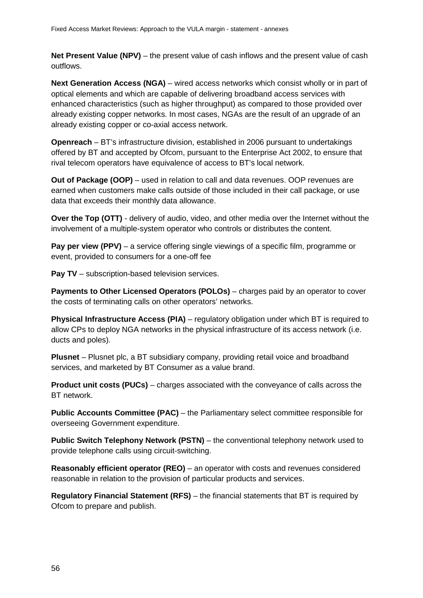**Net Present Value (NPV)** – the present value of cash inflows and the present value of cash outflows.

**Next Generation Access (NGA)** – wired access networks which consist wholly or in part of optical elements and which are capable of delivering broadband access services with enhanced characteristics (such as higher throughput) as compared to those provided over already existing copper networks. In most cases, NGAs are the result of an upgrade of an already existing copper or co-axial access network.

**Openreach** – BT's infrastructure division, established in 2006 pursuant to undertakings offered by BT and accepted by Ofcom, pursuant to the Enterprise Act 2002, to ensure that rival telecom operators have equivalence of access to BT's local network.

**Out of Package (OOP)** – used in relation to call and data revenues. OOP revenues are earned when customers make calls outside of those included in their call package, or use data that exceeds their monthly data allowance.

**Over the Top (OTT)** - delivery of audio, video, and other media over the Internet without the involvement of a multiple-system operator who controls or distributes the content.

**Pay per view (PPV)** – a service offering single viewings of a specific film, programme or event, provided to consumers for a one-off fee

**Pay TV** – subscription-based television services.

**Payments to Other Licensed Operators (POLOs)** – charges paid by an operator to cover the costs of terminating calls on other operators' networks.

**Physical Infrastructure Access (PIA)** – regulatory obligation under which BT is required to allow CPs to deploy NGA networks in the physical infrastructure of its access network (i.e. ducts and poles).

**Plusnet** – Plusnet plc, a BT subsidiary company, providing retail voice and broadband services, and marketed by BT Consumer as a value brand.

**Product unit costs (PUCs)** – charges associated with the conveyance of calls across the BT network.

**Public Accounts Committee (PAC)** – the Parliamentary select committee responsible for overseeing Government expenditure.

**Public Switch Telephony Network (PSTN)** – the conventional telephony network used to provide telephone calls using circuit-switching.

**Reasonably efficient operator (REO)** – an operator with costs and revenues considered reasonable in relation to the provision of particular products and services.

**Regulatory Financial Statement (RFS)** – the financial statements that BT is required by Ofcom to prepare and publish.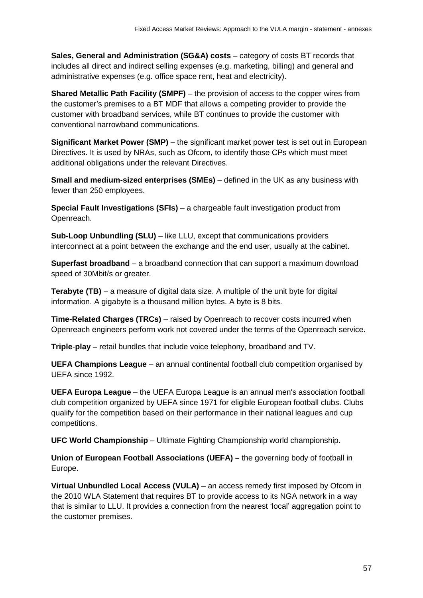**Sales, General and Administration (SG&A) costs** – category of costs BT records that includes all direct and indirect selling expenses (e.g. marketing, billing) and general and administrative expenses (e.g. office space rent, heat and electricity).

**Shared Metallic Path Facility (SMPF)** – the provision of access to the copper wires from the customer's premises to a BT MDF that allows a competing provider to provide the customer with broadband services, while BT continues to provide the customer with conventional narrowband communications.

**Significant Market Power (SMP)** – the significant market power test is set out in European Directives. It is used by NRAs, such as Ofcom, to identify those CPs which must meet additional obligations under the relevant Directives.

**Small and medium-sized enterprises (SMEs)** – defined in the UK as any business with fewer than 250 employees.

**Special Fault Investigations (SFIs)** – a chargeable fault investigation product from Openreach.

**Sub-Loop Unbundling (SLU)** – like LLU, except that communications providers interconnect at a point between the exchange and the end user, usually at the cabinet.

**Superfast broadband** – a broadband connection that can support a maximum download speed of 30Mbit/s or greater.

**Terabyte (TB)** – a measure of digital data size. A multiple of the unit byte for digital information. A gigabyte is a thousand million bytes. A byte is 8 bits.

**Time-Related Charges (TRCs)** – raised by Openreach to recover costs incurred when Openreach engineers perform work not covered under the terms of the Openreach service.

**Triple**-**play** – retail bundles that include voice telephony, broadband and TV.

**UEFA Champions League** – an annual continental football club competition organised by UEFA since 1992.

**UEFA Europa League** – the UEFA Europa League is an annual men's association football club competition organized by UEFA since 1971 for eligible European football clubs. Clubs qualify for the competition based on their performance in their national leagues and cup competitions.

**UFC World Championship** – Ultimate Fighting Championship world championship.

**Union of European Football Associations (UEFA) –** the governing body of football in Europe.

**Virtual Unbundled Local Access (VULA)** – an access remedy first imposed by Ofcom in the 2010 WLA Statement that requires BT to provide access to its NGA network in a way that is similar to LLU. It provides a connection from the nearest 'local' aggregation point to the customer premises.